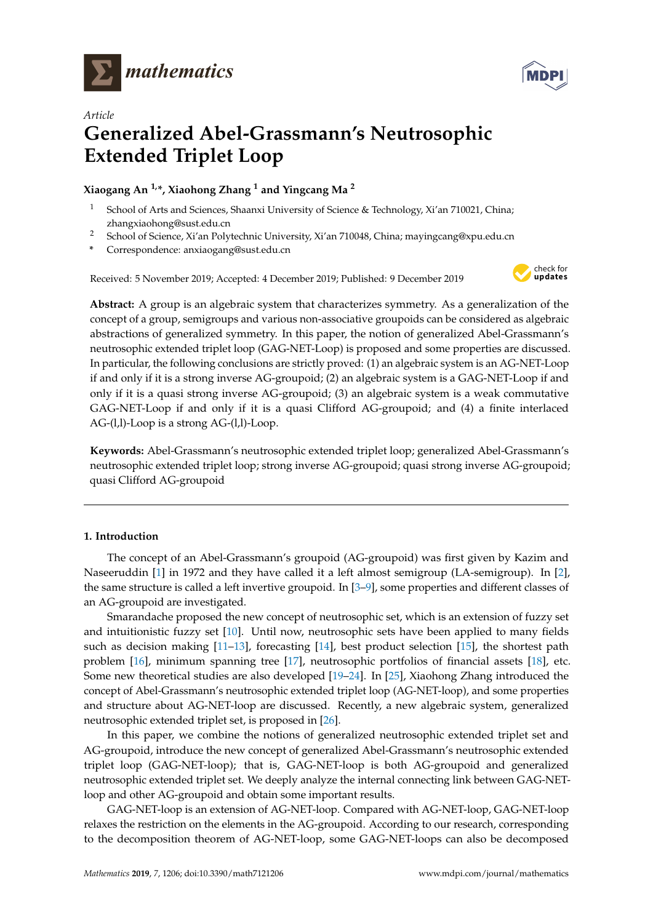



# *Article* **Generalized Abel-Grassmann's Neutrosophic Extended Triplet Loop**

**Xiaogang An 1,\*, Xiaohong Zhang <sup>1</sup> and Yingcang Ma <sup>2</sup>**

- <sup>1</sup> School of Arts and Sciences, Shaanxi University of Science & Technology, Xi'an 710021, China; zhangxiaohong@sust.edu.cn
- <sup>2</sup> School of Science, Xi'an Polytechnic University, Xi'an 710048, China; mayingcang@xpu.edu.cn
- **\*** Correspondence: anxiaogang@sust.edu.cn

Received: 5 November 2019; Accepted: 4 December 2019; Published: 9 December 2019



**Abstract:** A group is an algebraic system that characterizes symmetry. As a generalization of the concept of a group, semigroups and various non-associative groupoids can be considered as algebraic abstractions of generalized symmetry. In this paper, the notion of generalized Abel-Grassmann's neutrosophic extended triplet loop (GAG-NET-Loop) is proposed and some properties are discussed. In particular, the following conclusions are strictly proved: (1) an algebraic system is an AG-NET-Loop if and only if it is a strong inverse AG-groupoid; (2) an algebraic system is a GAG-NET-Loop if and only if it is a quasi strong inverse AG-groupoid; (3) an algebraic system is a weak commutative GAG-NET-Loop if and only if it is a quasi Clifford AG-groupoid; and (4) a finite interlaced AG-(l,l)-Loop is a strong AG-(l,l)-Loop.

**Keywords:** Abel-Grassmann's neutrosophic extended triplet loop; generalized Abel-Grassmann's neutrosophic extended triplet loop; strong inverse AG-groupoid; quasi strong inverse AG-groupoid; quasi Clifford AG-groupoid

# **1. Introduction**

The concept of an Abel-Grassmann's groupoid (AG-groupoid) was first given by Kazim and Naseeruddin [\[1\]](#page-18-0) in 1972 and they have called it a left almost semigroup (LA-semigroup). In [\[2\]](#page-18-1), the same structure is called a left invertive groupoid. In [\[3–](#page-18-2)[9\]](#page-18-3), some properties and different classes of an AG-groupoid are investigated.

Smarandache proposed the new concept of neutrosophic set, which is an extension of fuzzy set and intuitionistic fuzzy set [\[10\]](#page-18-4). Until now, neutrosophic sets have been applied to many fields such as decision making [\[11](#page-18-5)[–13\]](#page-18-6), forecasting [\[14\]](#page-18-7), best product selection [\[15\]](#page-18-8), the shortest path problem [\[16\]](#page-19-0), minimum spanning tree [\[17\]](#page-19-1), neutrosophic portfolios of financial assets [\[18\]](#page-19-2), etc. Some new theoretical studies are also developed [\[19](#page-19-3)[–24\]](#page-19-4). In [\[25\]](#page-19-5), Xiaohong Zhang introduced the concept of Abel-Grassmann's neutrosophic extended triplet loop (AG-NET-loop), and some properties and structure about AG-NET-loop are discussed. Recently, a new algebraic system, generalized neutrosophic extended triplet set, is proposed in [\[26\]](#page-19-6).

In this paper, we combine the notions of generalized neutrosophic extended triplet set and AG-groupoid, introduce the new concept of generalized Abel-Grassmann's neutrosophic extended triplet loop (GAG-NET-loop); that is, GAG-NET-loop is both AG-groupoid and generalized neutrosophic extended triplet set. We deeply analyze the internal connecting link between GAG-NETloop and other AG-groupoid and obtain some important results.

GAG-NET-loop is an extension of AG-NET-loop. Compared with AG-NET-loop, GAG-NET-loop relaxes the restriction on the elements in the AG-groupoid. According to our research, corresponding to the decomposition theorem of AG-NET-loop, some GAG-NET-loops can also be decomposed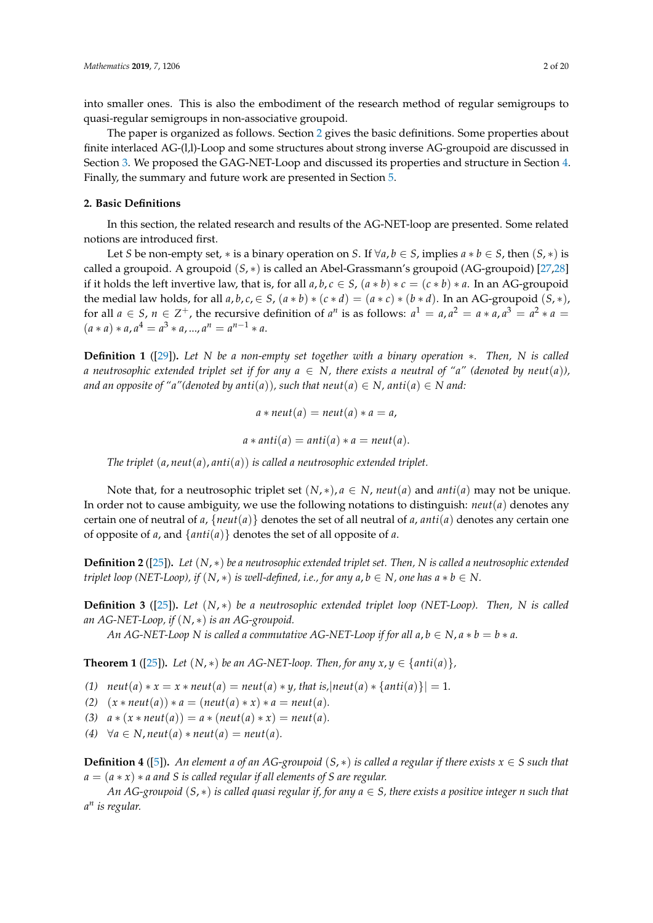into smaller ones. This is also the embodiment of the research method of regular semigroups to quasi-regular semigroups in non-associative groupoid.

The paper is organized as follows. Section [2](#page-1-0) gives the basic definitions. Some properties about finite interlaced AG-(l,l)-Loop and some structures about strong inverse AG-groupoid are discussed in Section [3.](#page-2-0) We proposed the GAG-NET-Loop and discussed its properties and structure in Section [4.](#page-7-0) Finally, the summary and future work are presented in Section [5.](#page-17-0)

#### <span id="page-1-0"></span>**2. Basic Definitions**

In this section, the related research and results of the AG-NET-loop are presented. Some related notions are introduced first.

Let *S* be non-empty set,  $*$  is a binary operation on *S*. If  $\forall a, b \in S$ , implies  $a * b \in S$ , then  $(S, *)$  is called a groupoid. A groupoid (*S*, ∗) is called an Abel-Grassmann's groupoid (AG-groupoid) [\[27](#page-19-7)[,28\]](#page-19-8) if it holds the left invertive law, that is, for all  $a, b, c \in S$ ,  $(a * b) * c = (c * b) * a$ . In an AG-groupoid the medial law holds, for all  $a, b, c \in S$ ,  $(a * b) * (c * d) = (a * c) * (b * d)$ . In an AG-groupoid  $(S, *)$ , for all  $a \in S$ ,  $n \in \mathbb{Z}^+$ , the recursive definition of  $a^n$  is as follows:  $a^1 = a$ ,  $a^2 = a * a$ ,  $a^3 = a^2 * a = a$  $(a * a) * a, a<sup>4</sup> = a<sup>3</sup> * a, ..., a<sup>n</sup> = a<sup>n-1</sup> * a.$ 

**Definition 1** ([\[29\]](#page-19-9))**.** *Let N be a non-empty set together with a binary operation* ∗*. Then, N is called a* neutrosophic extended triplet set if for any  $a \in N$ , there exists a neutral of "a" (denoted by neut(a)), *and an opposite of "a"*(*denoted by anti*(*a*)), such that neut(*a*)  $\in$  *N*, anti(*a*)  $\in$  *N* and:

$$
a * \textit{neut}(a) = \textit{neut}(a) * a = a,
$$

$$
a * anti(a) = anti(a) * a = neut(a).
$$

*The triplet* (*a*, *neut*(*a*), *anti*(*a*)) *is called a neutrosophic extended triplet.*

Note that, for a neutrosophic triplet set  $(N, *), a \in N$ , *neut* $(a)$  and *anti* $(a)$  may not be unique. In order not to cause ambiguity, we use the following notations to distinguish: *neut*(*a*) denotes any certain one of neutral of  $a$ ,  $\{neut(a)\}$  denotes the set of all neutral of  $a$ ,  $anti(a)$  denotes any certain one of opposite of *a*, and {*anti*(*a*)} denotes the set of all opposite of *a*.

**Definition 2** ([\[25\]](#page-19-5))**.** *Let* (*N*, ∗) *be a neutrosophic extended triplet set. Then, N is called a neutrosophic extended triplet loop (NET-Loop), if*  $(N, *)$  *is well-defined, i.e., for any a, b*  $\in N$ *, one has a*  $*$  *b*  $\in N$ *.* 

<span id="page-1-2"></span>**Definition 3** ([\[25\]](#page-19-5))**.** *Let* (*N*, ∗) *be a neutrosophic extended triplet loop (NET-Loop). Then, N is called an AG-NET-Loop, if* (*N*, ∗) *is an AG-groupoid.*

*An AG-NET-Loop N is called a commutative AG-NET-Loop if for all*  $a, b \in N$ *,*  $a * b = b * a$ *.* 

<span id="page-1-1"></span>**Theorem 1** ([\[25\]](#page-19-5)). Let  $(N, *)$  be an AG-NET-loop. Then, for any  $x, y \in \{anti(a)\}\,$ ,

*(1)*  $neut(a) * x = x * neut(a) = neut(a) * y$ , that is, |neut(*a*)  $* \{anti(a)\}$  = 1*.* 

- *(2)*  $(x * \text{neut}(a)) * a = (\text{neut}(a) * x) * a = \text{neut}(a)$ .
- *(3)*  $a * (x * neut(a)) = a * (neut(a) * x) = neut(a).$
- $(4)$   $\forall a \in N$ , *neut* $(a) * \textit{neut}(a) = \textit{neut}(a)$ .

<span id="page-1-3"></span>**Definition 4** ([\[5\]](#page-18-9)). An element a of an AG-groupoid  $(S, *)$  is called a regular if there exists  $x \in S$  such that *a* = (*a* ∗ *x*) ∗ *a and S is called regular if all elements of S are regular.*

*An AG-groupoid* (*S*, ∗) *is called quasi regular if, for any a* ∈ *S, there exists a positive integer n such that a n is regular.*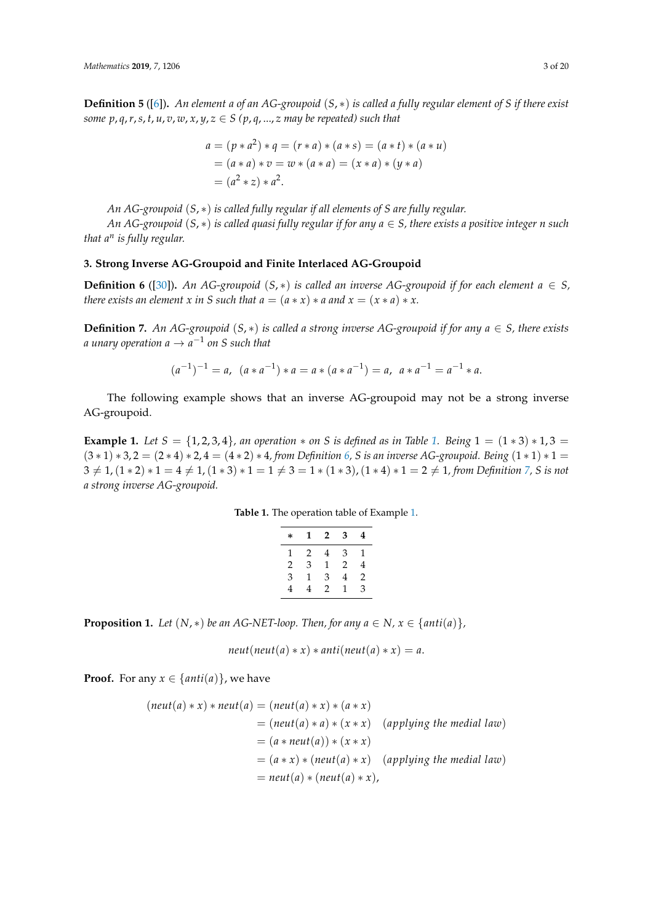<span id="page-2-6"></span>**Definition 5** ([\[6\]](#page-18-10))**.** *An element a of an AG-groupoid* (*S*, ∗) *is called a fully regular element of S if there exist some p*, *q*, *r*, *s*, *t*, *u*, *v*, *w*, *x*, *y*, *z*  $\in$  *S* (*p*, *q*, ..., *z may be repeated) such that* 

$$
a = (p * a2) * q = (r * a) * (a * s) = (a * t) * (a * u)
$$
  
= (a \* a) \* v = w \* (a \* a) = (x \* a) \* (y \* a)  
= (a<sup>2</sup> \* z) \* a<sup>2</sup>.

*An AG-groupoid* (*S*, ∗) *is called fully regular if all elements of S are fully regular.*

*An AG-groupoid* (*S*, ∗) *is called quasi fully regular if for any a* ∈ *S, there exists a positive integer n such that a<sup>n</sup> is fully regular.*

### <span id="page-2-0"></span>**3. Strong Inverse AG-Groupoid and Finite Interlaced AG-Groupoid**

<span id="page-2-2"></span>**Definition 6** ([\[30\]](#page-19-10)). *An AG-groupoid* (*S*,  $*$ ) *is called an inverse AG-groupoid if for each element*  $a \in S$ , *there exists an element x in S such that*  $a = (a * x) * a$  *and*  $x = (x * a) * x$ *.* 

<span id="page-2-3"></span>**Definition 7.** An AG-groupoid  $(S, *)$  is called a strong inverse AG-groupoid if for any  $a \in S$ , there exists *a unary operation a* → *a* −1 *on S such that*

$$
(a^{-1})^{-1} = a, \ (a * a^{-1}) * a = a * (a * a^{-1}) = a, \ a * a^{-1} = a^{-1} * a.
$$

The following example shows that an inverse AG-groupoid may not be a strong inverse AG-groupoid.

<span id="page-2-4"></span><span id="page-2-1"></span>**Example [1.](#page-2-1)** *Let*  $S = \{1, 2, 3, 4\}$ *, an operation*  $*$  *on S is defined as in Table* 1. *Being*  $1 = (1 * 3) * 1, 3 = 1$ (3 ∗ 1) ∗ 3, 2 = (2 ∗ 4) ∗ 2, 4 = (4 ∗ 2) ∗ 4*, from Definition [6,](#page-2-2) S is an inverse AG-groupoid. Being* (1 ∗ 1) ∗ 1 =  $3 \neq 1$ ,  $(1 * 2) * 1 = 4 \neq 1$ ,  $(1 * 3) * 1 = 1 \neq 3 = 1 * (1 * 3)$ ,  $(1 * 4) * 1 = 2 \neq 1$ , from Definition [7,](#page-2-3) S is not *a strong inverse AG-groupoid.*

| <b>Table 1.</b> The operation table of Example 1. |  |
|---------------------------------------------------|--|
|---------------------------------------------------|--|

| $\ast$ | 1 | 2 | 3 | 4 |
|--------|---|---|---|---|
| 1      | 2 | 4 | 3 | 1 |
| 2      | 3 | 1 | 2 | 4 |
| 3      | 1 | 3 | 4 | 2 |
| 4      | 4 | 2 | 1 | 3 |

<span id="page-2-5"></span>**Proposition 1.** *Let*  $(N, *)$  *be an AG-NET-loop. Then, for any a*  $\in N$ *, x*  $\in$  {*anti*(*a*)}*,* 

$$
neut(new(a) * x) * anti(new(a) * x) = a.
$$

**Proof.** For any  $x \in \{anti(a)\}\)$ , we have

$$
(neut(a) * x) * neut(a) = (neut(a) * x) * (a * x)
$$
  
= (neut(a) \* a) \* (x \* x) (applying the medial law)  
= (a \* neut(a)) \* (x \* x)  
= (a \* x) \* (neut(a) \* x) (applying the medial law)  
= neut(a) \* (neut(a) \* x),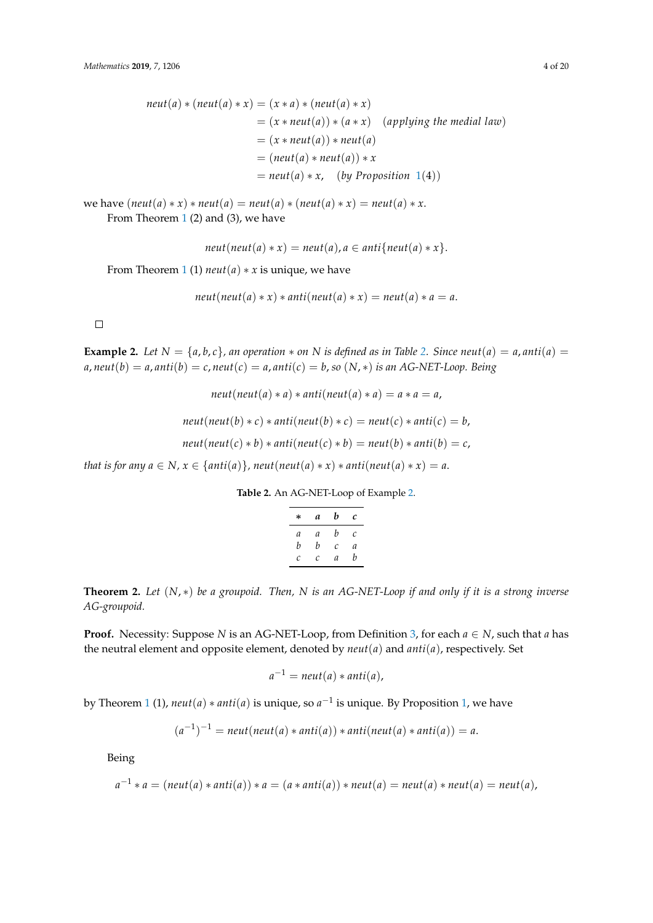$$
neut(a) * (neut(a) * x) = (x * a) * (neut(a) * x)
$$
  
= (x \* neut(a)) \* (a \* x) (applying the medial law)  
= (x \* neut(a)) \* neut(a)  
= (neut(a) \* neut(a)) \* x  
= neut(a) \* x, (by Proposition 1(4))

we have  $(newt(a) * x) * neut(a) = neut(a) * (neut(a) * x) = neut(a) * x$ . From Theorem [1](#page-1-1) (2) and (3), we have

 $neut(new(a) * x) = neut(a), a \in anti{neut(a) * x}.$ 

From Theorem [1](#page-1-1) (1)  $neut(a) * x$  is unique, we have

 $neut(new(a) * x) * anti(new(a) * x) = neut(a) * a = a.$ 

 $\Box$ 

<span id="page-3-1"></span>**Example [2.](#page-3-0)** Let  $N = \{a, b, c\}$ , an operation  $*$  on  $N$  is defined as in Table 2. Since neut(a) = a, anti(a) =  $a, \text{neut}(b) = a, \text{anti}(b) = c, \text{neut}(c) = a, \text{anti}(c) = b, \text{so}(N, *)$  *is an AG-NET-Loop. Being* 

 $neut(new(a) * a) * anti(new(a) * a) = a * a = a$ ,

$$
neut(new(b) * c) * anti(new(t) * c) = neut(c) * anti(c) = b,
$$

 $neut(new(c) * b) * anti(new(c) * b) = neut(b) * anti(b) = c$ ,

<span id="page-3-0"></span>*that is for any*  $a \in N$ *,*  $x \in \{anti(a)\}$ *, neut* $(neut(a) * x) * anti(neut(a) * x) = a$ *.* 

**Table 2.** An AG-NET-Loop of Example [2.](#page-3-1)

| * | а | b | с |
|---|---|---|---|
| a | a | b | С |
| b | b | C | a |
| C | C | a | b |

**Theorem 2.** *Let* (*N*, ∗) *be a groupoid. Then, N is an AG-NET-Loop if and only if it is a strong inverse AG-groupoid.*

**Proof.** Necessity: Suppose *N* is an AG-NET-Loop, from Definition [3,](#page-1-2) for each  $a \in N$ , such that *a* has the neutral element and opposite element, denoted by  $neut(a)$  and  $anti(a)$ , respectively. Set

$$
a^{-1} = \text{neut}(a) * \text{anti}(a),
$$

by Theorem [1](#page-1-1) (1), *neut*(*a*) ∗ *anti*(*a*) is unique, so *a* −1 is unique. By Proposition [1,](#page-2-5) we have

$$
(a^{-1})^{-1} = \text{neut}(\text{neut}(a) * \text{anti}(a)) * \text{anti}(\text{neut}(a) * \text{anti}(a)) = a.
$$

Being

$$
a^{-1} * a = (neut(a) * anti(a)) * a = (a * anti(a)) * neut(a) = neut(a) * neut(a) = neut(a),
$$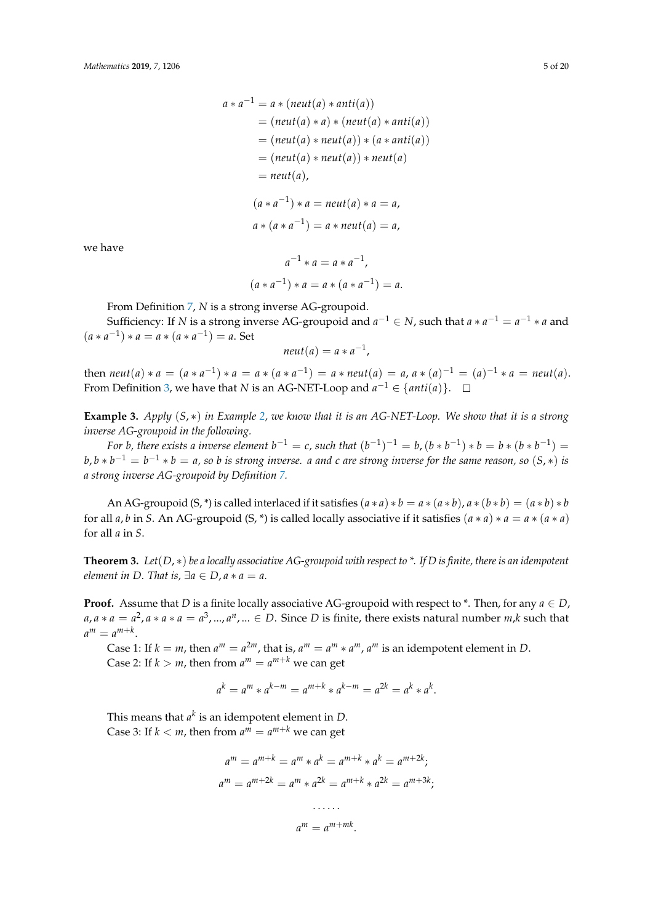$$
a * a^{-1} = a * (neut(a) * anti(a))
$$
  
= (neut(a) \* a) \* (neut(a) \* anti(a))  
= (neut(a) \* neut(a)) \* (a \* anti(a))  
= (neut(a) \* neut(a)) \* neut(a)  
= neut(a),  
(a \* a<sup>-1</sup>) \* a = neut(a) \* a = a,  
a \* (a \* a<sup>-1</sup>) = a \* neut(a) = a,

we have

$$
a^{-1} * a = a * a^{-1},
$$
  

$$
(a * a^{-1}) * a = a * (a * a^{-1}) = a.
$$

From Definition [7,](#page-2-3) *N* is a strong inverse AG-groupoid.

Sufficiency: If *N* is a strong inverse AG-groupoid and  $a^{-1} \in N$ , such that  $a * a^{-1} = a^{-1} * a$  and  $(a * a^{-1}) * a = a * (a * a^{-1}) = a$ . Set

$$
neut(a) = a * a^{-1},
$$

then  $neut(a) * a = (a * a^{-1}) * a = a * (a * a^{-1}) = a * neut(a) = a, a * (a)^{-1} = (a)^{-1} * a = neut(a)$ . From Definition [3,](#page-1-2) we have that *N* is an AG-NET-Loop and  $a^{-1} \in \{anti(a)\}.$ 

**Example 3.** *Apply* (*S*, ∗) *in Example [2,](#page-3-1) we know that it is an AG-NET-Loop. We show that it is a strong inverse AG-groupoid in the following.*

*For b*, there exists a inverse element  $b^{-1} = c$ , such that  $(b^{-1})^{-1} = b$ ,  $(b * b^{-1}) * b = b * (b * b^{-1}) =$  $b$ ,  $b * b^{-1} = b^{-1} * b = a$ , so  $b$  is strong inverse.  $a$  and  $c$  are strong inverse for the same reason, so  $(S, *)$  is *a strong inverse AG-groupoid by Definition [7.](#page-2-3)*

An AG-groupoid  $(S, *)$  is called interlaced if it satisfies  $(a * a) * b = a * (a * b)$ ,  $a * (b * b) = (a * b) * b$ for all *a*, *b* in *S*. An AG-groupoid (S, \*) is called locally associative if it satisfies  $(a * a) * a = a * (a * a)$ for all *a* in *S*.

<span id="page-4-0"></span>**Theorem 3.** *Let*(*D*, ∗) *be a locally associative AG-groupoid with respect to \*. If D is finite, there is an idempotent element in D. That is,*  $\exists a \in D$ ,  $a * a = a$ .

**Proof.** Assume that *D* is a finite locally associative AG-groupoid with respect to  $*$ . Then, for any  $a \in D$ ,  $a, a * a = a^2, a * a * a = a^3, ..., a^n, ... \in D$ . Since *D* is finite, there exists natural number *m*,*k* such that  $a^m = a^{m+k}$ .

Case 1: If  $k = m$ , then  $a^m = a^{2m}$ , that is,  $a^m = a^m * a^m$ ,  $a^m$  is an idempotent element in *D*. Case 2: If  $k > m$ , then from  $a^m = a^{m+k}$  we can get

$$
a^k = a^m * a^{k-m} = a^{m+k} * a^{k-m} = a^{2k} = a^k * a^k.
$$

This means that  $a^k$  is an idempotent element in  $D$ . Case 3: If  $k < m$ , then from  $a^m = a^{m+k}$  we can get

$$
a^{m} = a^{m+k} = a^{m} * a^{k} = a^{m+k} * a^{k} = a^{m+2k};
$$
  

$$
a^{m} = a^{m+2k} = a^{m} * a^{2k} = a^{m+k} * a^{2k} = a^{m+3k};
$$
  
......

$$
a^m = a^{m+mk}.
$$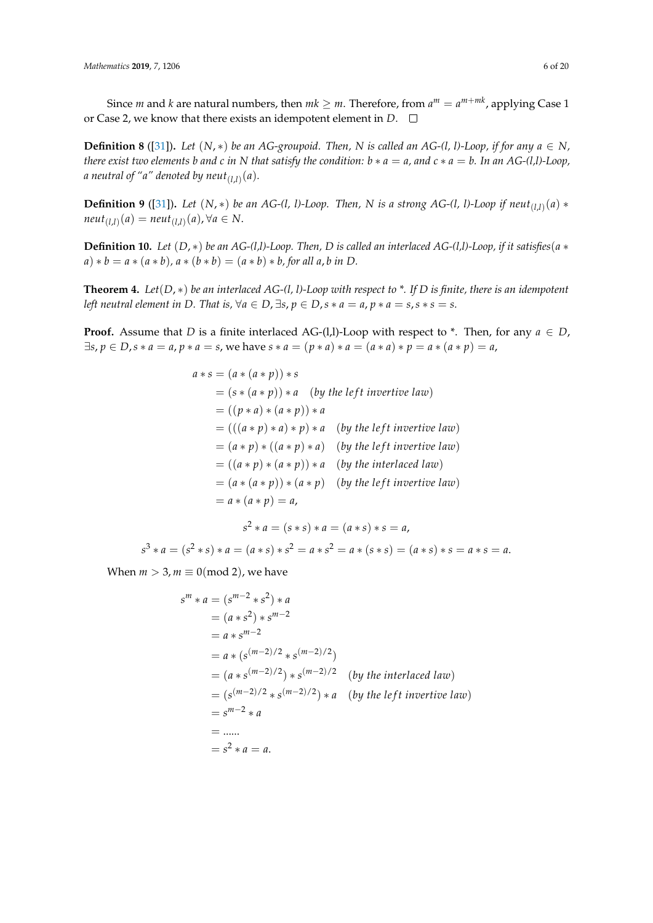Since *m* and *k* are natural numbers, then  $mk \geq m$ . Therefore, from  $a^m = a^{m+mk}$ , applying Case 1 or Case 2, we know that there exists an idempotent element in *D*.

<span id="page-5-0"></span>**Definition 8** ([\[31\]](#page-19-11)). Let  $(N, *)$  be an AG-groupoid. Then, N is called an AG-(l, l)-Loop, if for any  $a \in N$ , *there exist two elements b and c in N that satisfy the condition:*  $b * a = a$ *, and*  $c * a = b$ *. In an*  $AG-(l,l)$ -Loop, *a neutral of "a" denoted by neut* $_{(l,l)}(a)$ *.* 

<span id="page-5-2"></span>**Definition 9** ([\[31\]](#page-19-11)). Let  $(N, *)$  be an AG-(l, l)-Loop. Then, N is a strong AG-(l, l)-Loop if neut<sub>(l,l)</sub> $(a)$  \*  $neut_{(l,l)}(a) = neut_{(l,l)}(a)$ , ∀ $a \in N$ .

<span id="page-5-3"></span>**Definition 10.** Let  $(D, *)$  be an AG-(l,l)-Loop. Then, D is called an interlaced AG-(l,l)-Loop, if it satisfies ( $a *$  $a) * b = a * (a * b)$ ,  $a * (b * b) = (a * b) * b$ , for all a, b in D.

<span id="page-5-1"></span>**Theorem 4.** *Let*(*D*, ∗) *be an interlaced AG-(l, l)-Loop with respect to \*. If D is finite, there is an idempotent left neutral element in D. That is,*  $\forall a \in D$ ,  $\exists s, p \in D$ ,  $s * a = a$ ,  $p * a = s$ ,  $s * s = s$ .

**Proof.** Assume that *D* is a finite interlaced AG-(l,l)-Loop with respect to \*. Then, for any  $a \in D$ ,  $\exists s, p \in D, s * a = a, p * a = s$ , we have  $s * a = (p * a) * a = (a * a) * p = a * (a * p) = a$ ,

$$
a * s = (a * (a * p)) * s
$$
  
=  $(s * (a * p)) * a$  (by the left invertive law)  
=  $((p * a) * (a * p)) * a$   
=  $((a * p) * a) * p) * a$  (by the left invertive law)  
=  $(a * p) * ((a * p) * a)$  (by the left invertive law)  
=  $((a * p) * (a * p)) * a$  (by the interlaced law)  
=  $(a * (a * p)) * (a * p)$  (by the left invertive law)  
=  $a * (a * p) = a$ ,

$$
s^2 * a = (s * s) * a = (a * s) * s = a,
$$
  

$$
s^3 * a = (s^2 * s) * a = (a * s) * s^2 = a * s^2 = a * (s * s) = (a * s) * s = a * s = a.
$$

When  $m > 3$ ,  $m \equiv 0 \pmod{2}$ , we have

$$
s^{m} * a = (s^{m-2} * s^{2}) * a
$$
  
=  $(a * s^{2}) * s^{m-2}$   
=  $a * s^{m-2}$   
=  $a * (s^{(m-2)/2} * s^{(m-2)/2})$   
=  $(a * s^{(m-2)/2}) * s^{(m-2)/2}$  (by the interlaced law)  
=  $(s^{(m-2)/2} * s^{(m-2)/2}) * a$  (by the left invertive law)  
=  $s^{m-2} * a$   
= ......  
=  $s^{2} * a = a$ .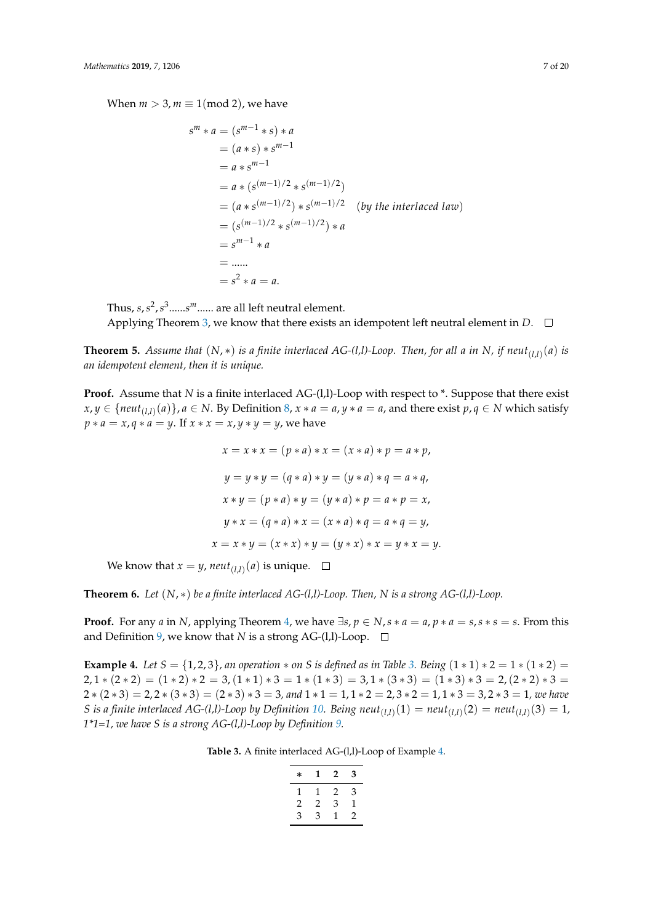When  $m > 3$ ,  $m \equiv 1 \pmod{2}$ , we have

$$
s^{m} * a = (s^{m-1} * s) * a
$$
  
=  $(a * s) * s^{m-1}$   
=  $a * s^{m-1}$   
=  $a * (s^{(m-1)/2} * s^{(m-1)/2})$   
=  $(a * s^{(m-1)/2}) * s^{(m-1)/2}$  (by the interlaced law)  
=  $(s^{(m-1)/2} * s^{(m-1)/2}) * a$   
=  $s^{m-1} * a$   
= .....  
=  $s^{2} * a = a$ .

Thus, *s*,*s* 2 ,*s* 3 ......*s <sup>m</sup>*...... are all left neutral element. Applying Theorem [3,](#page-4-0) we know that there exists an idempotent left neutral element in  $D$ .  $\square$ 

**Theorem 5.** *Assume that* (*N*, ∗) *is a finite interlaced AG-(l,l)-Loop. Then, for all a in N, if neut*(*l*,*l*) (*a*) *is an idempotent element, then it is unique.*

**Proof.** Assume that *N* is a finite interlaced AG-(1,1)-Loop with respect to  $*$ . Suppose that there exist  $x,y\in \{neut_{(l,l)}(a)\}$ ,  $a\in N$ . By Definition [8,](#page-5-0)  $x*a=a$ ,  $y*a=a$ , and there exist  $p,q\in N$  which satisfy *p* ∗ *a* = *x*, *q* ∗ *a* = *y*. If *x* ∗ *x* = *x*, *y* ∗ *y* = *y*, we have

$$
x = x * x = (p * a) * x = (x * a) * p = a * p,
$$
  
\n
$$
y = y * y = (q * a) * y = (y * a) * q = a * q,
$$
  
\n
$$
x * y = (p * a) * y = (y * a) * p = a * p = x,
$$
  
\n
$$
y * x = (q * a) * x = (x * a) * q = a * q = y,
$$
  
\n
$$
x = x * y = (x * x) * y = (y * x) * x = y * x = y.
$$

We know that  $x = y$ ,  $neut_{(l,l)}(a)$  is unique.

**Theorem 6.** *Let*  $(N, *)$  *be a finite interlaced AG-(l,l)-Loop. Then, N is a strong AG-(l,l)-Loop.* 

**Proof.** For any *a* in *N*, applying Theorem [4,](#page-5-1) we have  $\exists s, p \in N$ ,  $s * a = a$ ,  $p * a = s$ ,  $s * s = s$ . From this and Definition [9,](#page-5-2) we know that *N* is a strong AG-(l,l)-Loop.  $\square$ 

<span id="page-6-1"></span><span id="page-6-0"></span>**Example 4.** *Let*  $S = \{1, 2, 3\}$ *, an operation*  $*$  *on S is defined as in Table* [3.](#page-6-0) *Being*  $(1 * 1) * 2 = 1 * (1 * 2) =$ 2,  $1 * (2 * 2) = (1 * 2) * 2 = 3$ ,  $(1 * 1) * 3 = 1 * (1 * 3) = 3$ ,  $1 * (3 * 3) = (1 * 3) * 3 = 2$ ,  $(2 * 2) * 3 =$  $2*(2*3) = 2, 2*(3*3) = (2*3)*3 = 3,$  and  $1*1 = 1, 1*2 = 2, 3*2 = 1, 1*3 = 3, 2*3 = 1,$  we have *S* is a finite interlaced AG-(l,l)-Loop by Definition [10.](#page-5-3) Being  $neut_{(l,l)}(1) = neut_{(l,l)}(2) = neut_{(l,l)}(3) = 1$ , *1\*1=1, we have S is a strong AG-(l,l)-Loop by Definition [9.](#page-5-2)*

**Table 3.** A finite interlaced AG-(l,l)-Loop of Example [4.](#page-6-1)

| * | 1  | 2 | 3 |
|---|----|---|---|
|   | Ŧ. | 2 | 3 |
| 2 | 2  | З | 1 |
| З | З  | ı | 2 |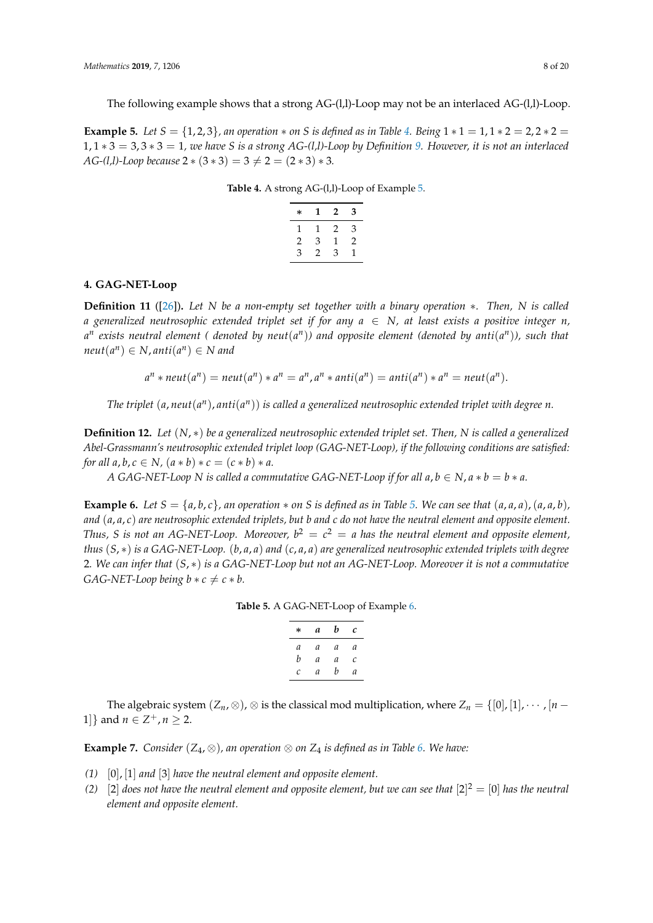The following example shows that a strong AG-(l,l)-Loop may not be an interlaced AG-(l,l)-Loop.

<span id="page-7-2"></span><span id="page-7-1"></span>**Example 5.** *Let*  $S = \{1, 2, 3\}$ , an operation  $*$  on  $S$  is defined as in Table [4.](#page-7-1) Being  $1 * 1 = 1, 1 * 2 = 2, 2 * 2 = 2$ 1, 1 ∗ 3 = 3, 3 ∗ 3 = 1*, we have S is a strong AG-(l,l)-Loop by Definition [9.](#page-5-2) However, it is not an interlaced AG-(l,l)-Loop because*  $2 * (3 * 3) = 3 \neq 2 = (2 * 3) * 3$ *.* 

|  |  |  | Table 4. A strong AG-(l,l)-Loop of Example 5. |
|--|--|--|-----------------------------------------------|
|--|--|--|-----------------------------------------------|

| $\ast$ | T | 2 | 3 |
|--------|---|---|---|
|        | 1 | 2 | 3 |
| 2      | 3 | 1 | 2 |
| 3      | 2 | 3 | 1 |

#### <span id="page-7-0"></span>**4. GAG-NET-Loop**

<span id="page-7-5"></span>**Definition 11** ([\[26\]](#page-19-6))**.** *Let N be a non-empty set together with a binary operation* ∗*. Then, N is called a* generalized neutrosophic extended triplet set if for any  $a \in N$ , at least exists a positive integer *n*,  $a^n$  exists neutral element ( denoted by neut $(a^n)$ ) and opposite element (denoted by anti $(a^n)$ ), such that  $neut(a^n) \in N$ ,  $anti(a^n) \in N$  and

$$
a^n * neut(a^n) = neut(a^n) * a^n = a^n, a^n * anti(a^n) = anti(a^n) * a^n = neut(a^n).
$$

*The triplet*  $(a, \textit{neut}(a^n), \textit{anti}(a^n))$  is called a generalized neutrosophic extended triplet with degree n.

<span id="page-7-6"></span>**Definition 12.** *Let* (*N*, ∗) *be a generalized neutrosophic extended triplet set. Then, N is called a generalized Abel-Grassmann's neutrosophic extended triplet loop (GAG-NET-Loop), if the following conditions are satisfied: for all a, b, c*  $\in$  *N,*  $(a * b) * c = (c * b) * a$ .

*A* GAG-NET-Loop N is called a commutative GAG-NET-Loop if for all  $a, b \in N$ ,  $a * b = b * a$ .

<span id="page-7-4"></span><span id="page-7-3"></span>**Example 6.** Let  $S = \{a, b, c\}$ , an operation  $*$  on S is defined as in Table [5.](#page-7-3) We can see that  $(a, a, a)$ ,  $(a, a, b)$ , *and* (*a*, *a*, *c*) *are neutrosophic extended triplets, but b and c do not have the neutral element and opposite element. Thus, S is not an AG-NET-Loop. Moreover,*  $b^2 = c^2 = a$  *has the neutral element and opposite element, thus* (*S*, ∗) *is a GAG-NET-Loop.* (*b*, *a*, *a*) *and* (*c*, *a*, *a*) *are generalized neutrosophic extended triplets with degree* 2*. We can infer that* (*S*, ∗) *is a GAG-NET-Loop but not an AG-NET-Loop. Moreover it is not a commutative GAG-NET-Loop being*  $b * c \neq c * b$ .

**Table 5.** A GAG-NET-Loop of Example [6.](#page-7-4)

| * | а | b | с |
|---|---|---|---|
| a | a | a | a |
| b | a | а | C |
| C | a | h | a |

The algebraic system  $(Z_n, \otimes)$ ,  $\otimes$  is the classical mod multiplication, where  $Z_n = \{0\}$ ,  $[1]$ ,  $\cdots$ ,  $[n-1]$ 1]} and  $n \in \mathbb{Z}^+$ ,  $n \ge 2$ .

**Example 7.** *Consider* ( $Z_4$ ,  $\otimes$ ), an operation  $\otimes$  on  $Z_4$  *is defined as in Table* [6.](#page-8-0) We have:

- *(1)* [0], [1] *and* [3] *have the neutral element and opposite element.*
- (2)  $[2]$  does not have the neutral element and opposite element, but we can see that  $[2]^2 = [0]$  has the neutral *element and opposite element.*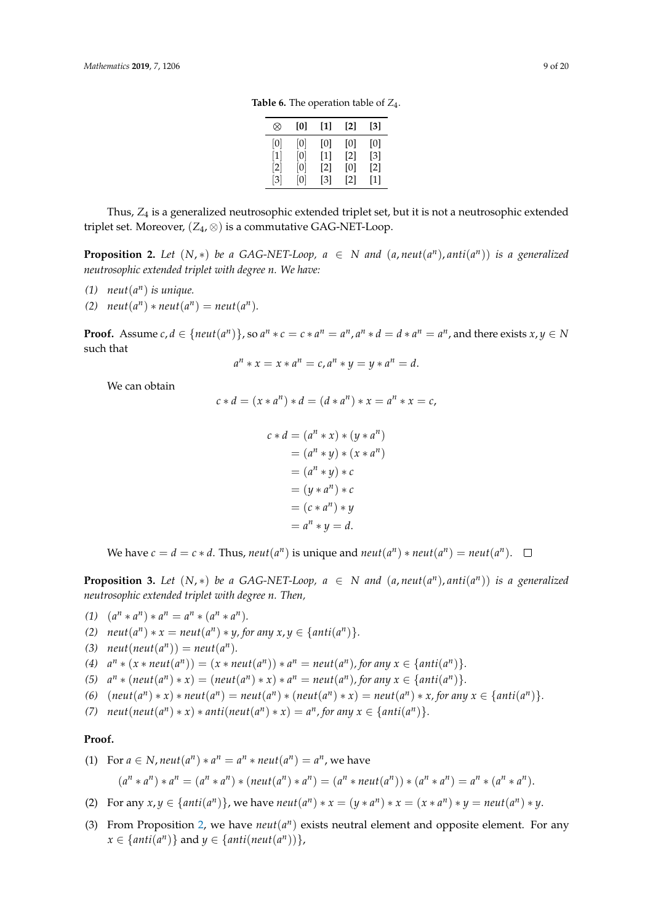**Table 6.** The operation table of  $Z_4$ .

| ∞                 | 101              | 11  | [2]               | [3]               |
|-------------------|------------------|-----|-------------------|-------------------|
| $\left[0\right]$  | $\left[0\right]$ | [0] | [0]               | [0]               |
| [1]               | [0]              | [1] | $\lceil 2 \rceil$ | [3]               |
| $\left[ 2\right]$ | [0]              | [2] | [0]               | $\lceil 2 \rceil$ |
| $\lceil 3 \rceil$ | [0]              | [3] | $\lceil 2 \rceil$ | [1]               |

<span id="page-8-0"></span>Thus, *Z*<sup>4</sup> is a generalized neutrosophic extended triplet set, but it is not a neutrosophic extended triplet set. Moreover,  $(Z_4, \otimes)$  is a commutative GAG-NET-Loop.

<span id="page-8-1"></span>**Proposition 2.** Let  $(N, *)$  be a GAG-NET-Loop,  $a \in N$  and  $(a, neut(a<sup>n</sup>), anti(a<sup>n</sup>))$  is a generalized *neutrosophic extended triplet with degree n. We have:*

- *(1)*  $neut(a^n)$  *is unique.*
- *(2)*  $neut(a^n) * neut(a^n) = neut(a^n)$ .

**Proof.** Assume  $c, d \in \{neu(t(a^n))\}$ , so  $a^n * c = c * a^n = a^n$ ,  $a^n * d = d * a^n = a^n$ , and there exists  $x, y \in N$ such that

$$
a^n * x = x * a^n = c, a^n * y = y * a^n = d.
$$

We can obtain

$$
c * d = (x * an) * d = (d * an) * x = an * x = c,
$$

$$
c * d = (an * x) * (y * an)
$$
  
=  $(an * y) * (x * an)$   
=  $(an * y) * c$   
=  $(y * an) * c$   
=  $(c * an) * y$   
=  $an * y = d$ .

We have  $c = d = c * d$ . Thus,  $neut(a^n)$  is unique and  $neut(a^n) * neut(a^n) = neut(a^n)$ .

<span id="page-8-2"></span>**Proposition 3.** Let  $(N, *)$  be a GAG-NET-Loop,  $a \in N$  and  $(a, neut(a<sup>n</sup>), anti(a<sup>n</sup>))$  is a generalized *neutrosophic extended triplet with degree n. Then,*

$$
(1) (an * an) * an = an * (an * an).
$$

- *(2)*  $neut(a^n) * x = neut(a^n) * y$ , for any  $x, y \in \{anti(a^n) \}$ .
- (3)  $neut(new(a^n)) = neut(a^n)$ *.*

(4)  $a^n * (x * neut(a^n)) = (x * neut(a^n)) * a^n = neut(a^n)$ , for any  $x \in \{anti(a^n)\}.$ 

(5) 
$$
a^n * (neut(a^n) * x) = (neut(a^n) * x) * a^n = neut(a^n)
$$
, for any  $x \in \{anti(a^n)\}.$ 

(6) 
$$
(neut(a^n) * x) * neut(a^n) = neut(a^n) * (neut(a^n) * x) = neut(a^n) * x
$$
, for any  $x \in \{anti(a^n)\}.$ 

*(7)*  $neut(new(a^n) * x) * anti(new(a^n) * x) = a^n$ , for any  $x \in \{anti(a^n)\}$ .

#### **Proof.**

(1) For 
$$
a \in N
$$
,  $neut(a^n) * a^n = a^n *neut(a^n) = a^n$ , we have  
\n $(a^n * a^n) * a^n = (a^n * a^n) * (neut(a^n) * a^n) = (a^n *neut(a^n)) * (a^n * a^n) = a^n * (a^n * a^n)$ .

- (2) For any  $x, y \in \{anti(a^n)\}\)$ , we have  $neut(a^n) * x = (y * a^n) * x = (x * a^n) * y = neut(a^n) * y$ .
- (3) From Proposition [2,](#page-8-1) we have  $neut(a^n)$  exists neutral element and opposite element. For any  $x \in \{anti(a^n)\}$  and  $y \in \{anti(neut(a^n))\}$ ,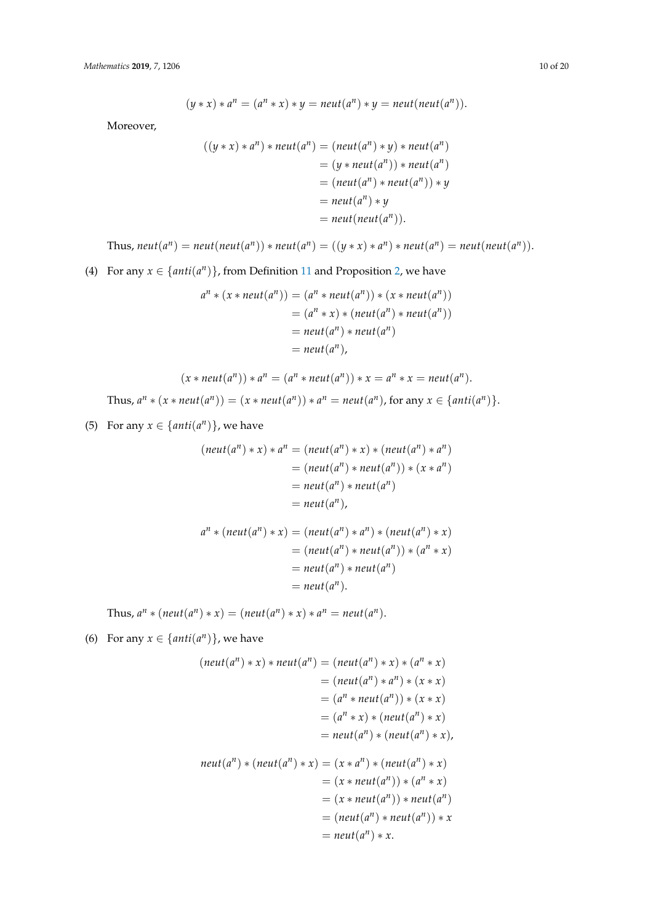$$
(y * x) * an = (an * x) * y = neutr(an) * y = neutr(neut(an)).
$$

Moreover,

$$
((y * x) * an) * neut(an) = (neut(an) * y) * neut(an)
$$
  
= (y \* neut(a<sup>n</sup>)) \* neut(a<sup>n</sup>)  
= (neut(a<sup>n</sup>) \* neut(a<sup>n</sup>)) \* y  
= neut(a<sup>n</sup>) \* y  
= neut(new(a<sup>n</sup>)).

Thus, 
$$
neut(a^n) = neut(new(t(a^n)) * neut(a^n) = ((y * x) * a^n) * neut(a^n) = neut(new(t(a^n))
$$
.

(4) For any  $x \in \{anti(a^n)\}$ , from Definition [11](#page-7-5) and Proposition [2,](#page-8-1) we have

$$
an * (x * neut(an)) = (an * neut(an)) * (x * neut(an))
$$
  
= (a<sup>n</sup> \* x) \* (neut(a<sup>n</sup>) \* neut(a<sup>n</sup>))  
= neut(a<sup>n</sup>) \* neut(a<sup>n</sup>)  
= neut(a<sup>n</sup>),

$$
(x * neut(a^n)) * a^n = (a^n * neut(a^n)) * x = a^n * x = neut(a^n).
$$
  
Thus,  $a^n * (x * neut(a^n)) = (x * neut(a^n)) * a^n = neut(a^n)$ , for any  $x \in \{anti(a^n)\}.$ 

(5) For any  $x \in \{anti(a^n)\}$ , we have

$$
(neut(a^n) * x) * a^n = (neut(a^n) * x) * (neut(a^n) * a^n)
$$
  
= (neut(a^n) \* neut(a^n)) \* (x \* a^n)  
= neut(a^n) \* neut(a^n)  
= neut(a^n),

$$
a^{n} * (neut(a^{n}) * x) = (neut(a^{n}) * a^{n}) * (neut(a^{n}) * x)
$$
  
= (neut(a^{n}) \* neut(a^{n})) \* (a^{n} \* x)  
= neut(a^{n}) \* neut(a^{n})  
= neut(a^{n}).

Thus,  $a^n * (neut(a^n) * x) = (neut(a^n) * x) * a^n = neut(a^n)$ .

(6) For any  $x \in \{anti(a^n)\}$ , we have

$$
(neut(a^n) * x) * neut(a^n) = (neut(a^n) * x) * (a^n * x)
$$
  

$$
= (neut(a^n) * a^n) * (x * x)
$$
  

$$
= (a^n * neut(a^n)) * (x * x)
$$
  

$$
= (a^n * x) * (neut(a^n) * x)
$$
  

$$
= neut(a^n) * (neut(a^n) * x),
$$
  

$$
neut(a^n) * (neut(a^n) * x) = (x * a^n) * (neut(a^n) * x)
$$
  

$$
= (x * neut(a^n)) * (a^n * x)
$$
  

$$
= (x * neut(a^n)) * neut(a^n)
$$
  

$$
= (neut(a^n) * neut(a^n)) * x
$$
  

$$
= neut(a^n) * x.
$$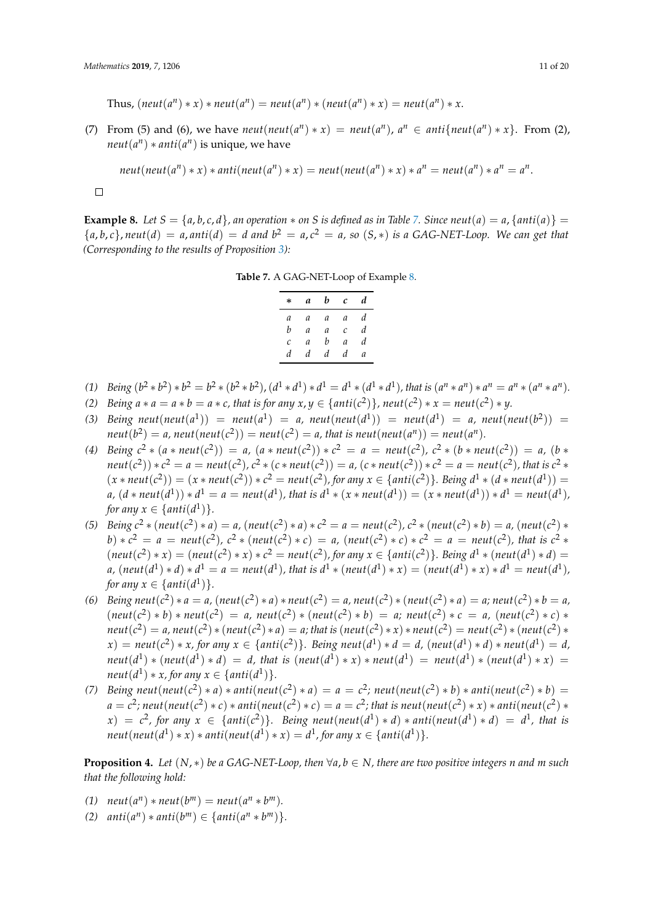$\text{Thus, } (\text{neut}(a^n) * x) * \text{neut}(a^n) = \text{neut}(a^n) * (\text{neut}(a^n) * x) = \text{neut}(a^n) * x.$ 

(7) From (5) and (6), we have  $neut(new(a^n) * x) = neut(a^n)$ ,  $a^n \in anti{neut(a^n) * x}$ . From (2),  $neut(a^n) * anti(a^n)$  is unique, we have

$$
neut(new(a^n)*x)*anti(new(a^n)*x) = neut(new(a^n)*x)*a^n = neut(a^n)*a^n = a^n.
$$

$$
\qquad \qquad \Box
$$

<span id="page-10-1"></span><span id="page-10-0"></span>**Example 8.** Let  $S = \{a, b, c, d\}$ , an operation  $*$  on S is defined as in Table [7.](#page-10-0) Since neut(a) = a,  $\{anti(a)\}$  =  ${a, b, c}$ , *neut*(*d*) = *a*, *anti*(*d*) = *d and*  $b^2 = a, c^2 = a$ , so (*S*, \*) *is a* GAG-NET-Loop. We can get that *(Corresponding to the results of Proposition [3\)](#page-8-2):*

**Table 7.** A GAG-NET-Loop of Example [8.](#page-10-1)

| * | a | b | C             | d |
|---|---|---|---------------|---|
| а | а | a | a             | d |
| b | а | a | C             | d |
| C | a | b | $\mathfrak a$ | d |
| d | d | d | d             | а |

- (1) Being  $(b^2 * b^2) * b^2 = b^2 * (b^2 * b^2)$ ,  $(d^1 * d^1) * d^1 = d^1 * (d^1 * d^1)$ , that is  $(a^n * a^n) * a^n = a^n * (a^n * a^n)$ .
- *(2) Being*  $a * a = a * b = a * c$ , that is for any  $x, y \in \{anti(c^2)\}$ , neut $(c^2) * x = neut(c^2) * y$ .
- (3) Being  $neut(new(a^1)) = neut(a^1) = a$ ,  $neut(new(d^1)) = neut(d^1) = a$ ,  $neut(de^1)) = b$  $\mathit{neut}(b^2) = a$ ,  $\mathit{neut}(\mathit{neut}(c^2)) = \mathit{neut}(c^2) = a$ , that is  $\mathit{neut}(\mathit{neut}(a^n)) = \mathit{neut}(a^n)$ .
- (4) Being  $c^2 * (a * neut(c^2)) = a$ ,  $(a * neut(c^2)) * c^2 = a = neut(c^2)$ ,  $c^2 * (b * neut(c^2)) = a$ ,  $(b *$  $neut(c^2))*c^2=a=neut(c^2)$ ,  $c^2*(c*neut(c^2))=a$ ,  $(c*neut(c^2))*c^2=a=neut(c^2)$ , that is  $c^2*$  $(x * neut(c<sup>2</sup>)) = (x * neut(c<sup>2</sup>)) * c<sup>2</sup> = neut(c<sup>2</sup>),$  for any  $x \in \{anti(c<sup>2</sup>)\}$ . Being  $d<sup>1</sup> * (d * neut(d<sup>1</sup>)) =$ a,  $(d*neut(d^1))*d^1=a=neut(d^1)$ , that is  $d^1*(x*neut(d^1))=(x*neut(d^1))*d^1=neut(d^1)$ , *for any*  $x \in \{anti(d^1)\}.$
- (5) Being  $c^2 * (neut(c^2) * a) = a$ ,  $(neut(c^2) * a) * c^2 = a = neut(c^2)$ ,  $c^2 * (neut(c^2) * b) = a$ ,  $(neut(c^2) * b) = a$ b)  $\star c^2 = a = \text{neut}(c^2)$ ,  $c^2 \ast (\text{neut}(c^2) \ast c) = a$ ,  $(\text{neut}(c^2) \ast c) \ast c^2 = a = \text{neut}(c^2)$ , that is  $c^2 \ast$  $(\text{neut}(c^2)*x)=(\text{neut}(c^2)*x)*c^2=\text{neut}(c^2)$ , for any  $x \in \{\text{anti}(c^2)\}\$ . Being  $d^1 * (\text{neut}(d^1)*d)$ a,  $(\textit{neut}(d^1)*d)*d^1 = a = \textit{neut}(d^1)$ , that is  $d^1*(\textit{neut}(d^1)*x) = (\textit{neut}(d^1)*x)*d^1 = \textit{neut}(d^1)$ , *for any*  $x \in \{anti(d^1)\}.$
- (6) Being neut(c<sup>2</sup>) \* a = a, (neut(c<sup>2</sup>) \* a) \* neut(c<sup>2</sup>) = a, neut(c<sup>2</sup>) \* (neut(c<sup>2</sup>) \* a) = a; neut(c<sup>2</sup>) \* b = a,  $(\text{neut}(c^2) * b) * \text{neut}(c^2) = a$ ,  $\text{neut}(c^2) * (\text{neut}(c^2) * b) = a$ ;  $\text{neut}(c^2) * c = a$ ,  $(\text{neut}(c^2) * c) *$ neut(c<sup>2</sup>) = a, neut(c<sup>2</sup>)  $\ast$  (neut(c<sup>2</sup>)  $\ast$  a) = a; that is (neut(c<sup>2</sup>)  $\ast$  x)  $\ast$  neut(c<sup>2</sup>) = neut(c<sup>2</sup>)  $\ast$  (neut(c<sup>2</sup>)  $\ast$  $f(x) = neutr(c<sup>2</sup>) * x$ , for any  $x \in \{anti(c<sup>2</sup>)\}$ . Being neut $(d<sup>1</sup>) * d = d$ ,  $(new(d<sup>1</sup>) * d) * neut(d<sup>1</sup>) = d$ ,  $\mathcal{L} = \int d^{(1)} \times d^{(1)} \times d^{(2)} = d$ , that is  $(\mathcal{L} = \int d^{(1)} \times x) \times \mathcal{L} = \int d^{(1)} \times d^{(1)} \times x = d^{(1)} \times x$  $neut(d<sup>1</sup>) * x$ , for any  $x \in \{anti(d<sup>1</sup>)\}.$
- (7) Being neut(neut(c<sup>2</sup>) \* a) \* anti(neut(c<sup>2</sup>) \* a) = a = c<sup>2</sup>; neut(neut(c<sup>2</sup>) \* b) \* anti(neut(c<sup>2</sup>) \* b) =  $a=c^2$ ; neut(neut(c<sup>2</sup>)  $\ast$  c)  $\ast$  anti(neut(c<sup>2</sup>)  $\ast$  c)  $=a=c^2$ ; that is neut(neut(c<sup>2</sup>)  $\ast$  x)  $\ast$  anti(neut(c<sup>2</sup>)  $\ast$  $f(x) = c^2$ , for any  $x \in \{anti(c^2) \}$ . Being neut(neut( $d^1$ ) \* *d*) \* anti(neut( $d^1$ ) \* *d*) =  $d^1$ , that is  $neut(new(d^1)*x)*anti(new(d^1)*x)=d^1$ , for any  $x \in \{anti(d^1)\}.$

<span id="page-10-2"></span>**Proposition 4.** Let  $(N, *)$  be a GAG-NET-Loop, then  $\forall a, b \in N$ , there are two positive integers *n* and *m* such *that the following hold:*

- *(1)*  $neut(a^n) * neut(b^m) = neut(a^n * b^m)$ .
- *(2)*  $anti(a^n) * anti(b^m) \in \{anti(a^n * b^m) \}.$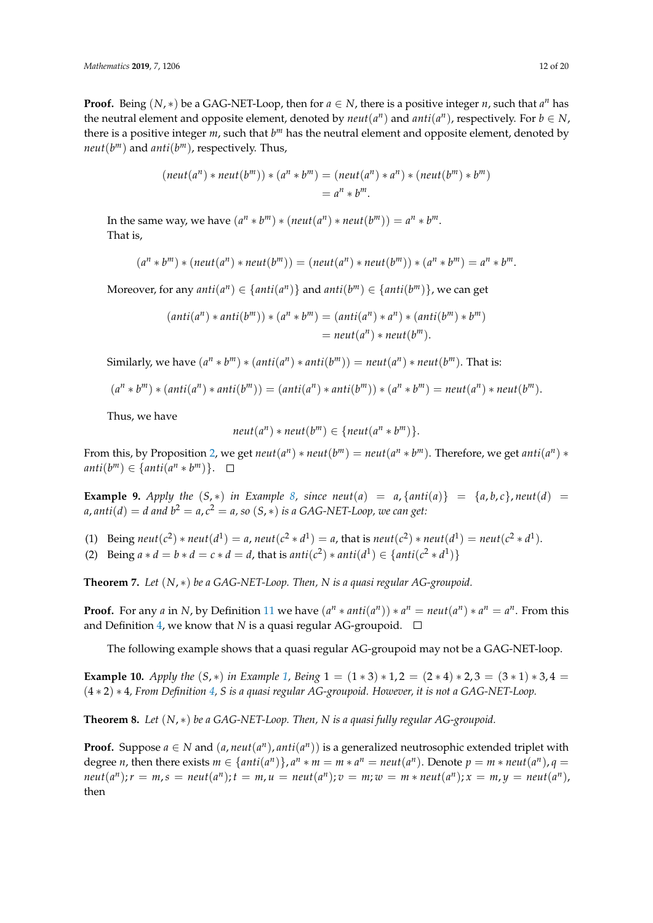**Proof.** Being  $(N, *)$  be a GAG-NET-Loop, then for  $a \in N$ , there is a positive integer *n*, such that  $a^n$  has the neutral element and opposite element, denoted by  $neut(a^n)$  and  $anti(a^n)$ , respectively. For  $b \in N$ , there is a positive integer *m*, such that  $b^m$  has the neutral element and opposite element, denoted by *neut*(*b <sup>m</sup>*) and *anti*(*b <sup>m</sup>*), respectively. Thus,

$$
(neut(a^n) * neut(b^m)) * (a^n * b^m) = (neut(a^n) * a^n) * (neut(b^m) * b^m)
$$
  
=  $a^n * b^m$ .

In the same way, we have  $(a^n * b^m) * (neut(a^n) * neut(b^m)) = a^n * b^m$ . That is,

$$
(an * bm) * (neut(an) * neut(bm)) = (neut(an) * neut(bm)) * (an * bm) = an * bm.
$$

Moreover, for any  $anti(a^n) \in \{anti(a^n)\}$  and  $anti(b^m) \in \{anti(b^m)\}$ , we can get

$$
(anti(an)*anti(bm))*(an * bm) = (anti(an)*an) * (anti(bm)*bm)
$$
  
=  $neut(an)*neut(bm).$ 

Similarly, we have  $(a^n * b^m) * (anti(a^n) * anti(b^m)) = neut(a^n) * neut(b^m)$ . That is:

$$
(an * bm) * (anti(an) * anti(bm)) = (anti(an) * anti(bm)) * (an * bm) = neut(an) * neut(bm).
$$

Thus, we have

$$
neut(a^n)*neut(b^m) \in \{neut(a^n * b^m)\}.
$$

From this, by Proposition [2,](#page-8-1) we get  $neut(a^n) * neut(b^m) = neut(a^n * b^m)$ . Therefore, we get  $anti(a^n) *$  $\text{anti}(b^m) \in \{\text{anti}(a^n * b^m)\}.$ 

**Example 9.** Apply the  $(S, *)$  in Example [8,](#page-10-1) since neut $(a) = a$ ,  $\{anti(a)\} = \{a, b, c\}$ , neut $(d) =$ *a,*  $\textit{anti}(d) = d$  *and*  $b^2 = a$ *,*  $c^2 = a$ *, so*  $(S, *)$  *is a GAG-NET-Loop, we can get:* 

- (1) Being  $neut(c^2) * neut(d^1) = a$ ,  $neut(c^2 * d^1) = a$ , that is  $neut(c^2) * neut(d^1) = neut(c^2 * d^1)$ .
- (2) Being  $a * d = b * d = c * d = d$ , that is  $anti(c^2) * anti(d^1) \in \{anti(c^2 * d^1)\}$

**Theorem 7.** *Let* (*N*, ∗) *be a GAG-NET-Loop. Then, N is a quasi regular AG-groupoid.*

**Proof.** For any *a* in *N*, by Definition [11](#page-7-5) we have  $(a^n * anti(a^n)) * a^n = neutr(a^n) * a^n = a^n$ . From this and Definition [4,](#page-1-3) we know that *N* is a quasi regular AG-groupoid.  $\square$ 

The following example shows that a quasi regular AG-groupoid may not be a GAG-NET-loop.

<span id="page-11-0"></span>**Example 10.** *Apply the*  $(S, *)$  *in Example* [1,](#page-2-4) *Being*  $1 = (1 * 3) * 1, 2 = (2 * 4) * 2, 3 = (3 * 1) * 3, 4 =$ (4 ∗ 2) ∗ 4*, From Definition [4,](#page-1-3) S is a quasi regular AG-groupoid. However, it is not a GAG-NET-Loop.*

**Theorem 8.** *Let* (*N*, ∗) *be a GAG-NET-Loop. Then, N is a quasi fully regular AG-groupoid.*

**Proof.** Suppose  $a \in N$  and  $(a, neut(a^n), anti(a^n))$  is a generalized neutrosophic extended triplet with degree *n*, then there exists  $m \in \{anti(a^n)\}, a^n * m = m * a^n = neutr(a^n)$ . Denote  $p = m * neutr(a^n), q =$  $\mathit{neut}(a^n); r = m, s = \mathit{neut}(a^n); t = m, u = \mathit{neut}(a^n); v = m; w = m * \mathit{neut}(a^n); x = m, y = \mathit{neut}(a^n),$ then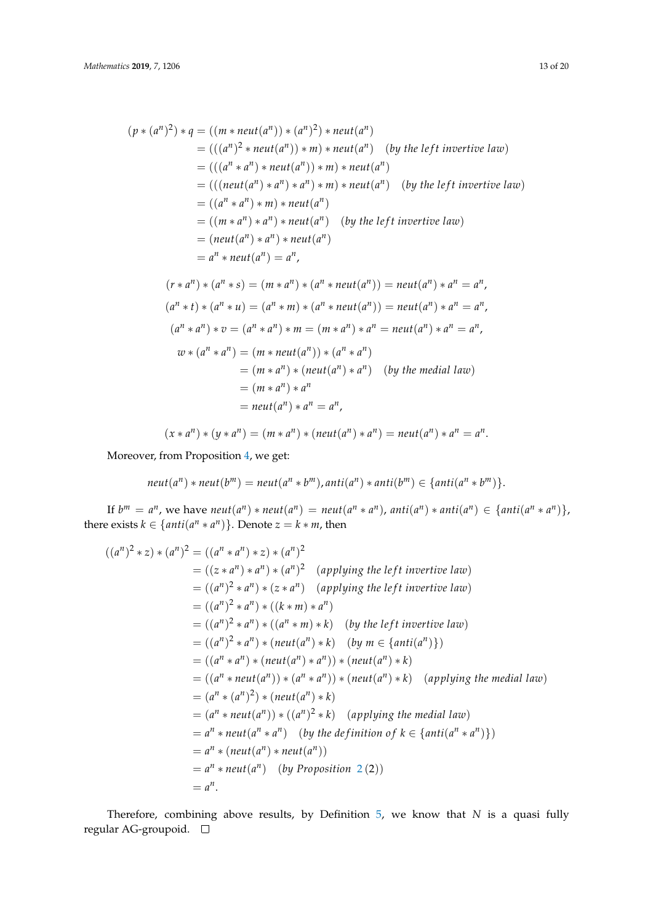$$
(p * (a^n)^2) * q = ((m * neut(a^n)) * (a^n)^2) * neut(a^n)
$$
  
= 
$$
(((a^n)^2 * neut(a^n)) * m) * neut(a^n)
$$
 (by the left invertive law)  
= 
$$
(((a^n * a^n) * neut(a^n)) * m) * neut(a^n)
$$
  
= 
$$
(((neut(a^n) * a^n) * a^n) * m) * neut(a^n)
$$
 (by the left invertive law)  
= 
$$
((a^n * a^n) * m) * neut(a^n)
$$
  
= 
$$
((m * a^n) * m) * neut(a^n)
$$
  
= 
$$
((m * a^n) * a^n) * neut(a^n)
$$
 (by the left invertive law)  
= 
$$
(neut(a^n) * a^n) * neut(a^n)
$$
  
= 
$$
a^n * neut(a^n) = a^n,
$$
  

$$
(r * a^n) * (a^n * s) = (m * a^n) * (a^n * neut(a^n)) = neut(a^n) * a^n = a^n,
$$
  

$$
(a^n * t) * (a^n * u) = (a^n * m) * (a^n * neut(a^n)) = neut(a^n) * a^n = a^n,
$$
  

$$
(a^n * a^n) * v = (a^n * a^n) * m = (m * a^n) * a^n = neut(a^n) * a^n = a^n,
$$
  

$$
w * (a^n * a^n) = (m * neut(a^n)) * (a^n * a^n)
$$
  
= 
$$
(m * a^n) * (neut(a^n) * a^n)
$$
 (by the medial law)  
= 
$$
(m * a^n) * a^n = a^n,
$$
  

$$
w * (a^n * a^n) = (m * a^n) * (neut(a^n) * a^n) = neut(a^n) * a^n = a^n.
$$
  

$$
(x * a^n) * (y * a^n) = (m * a^n) * (neut(a^n) * a^n) = neut(a^n) * a^n = a^n.
$$

Moreover, from Proposition [4,](#page-10-2) we get:

$$
neut(a^n) * neut(b^m) = neut(a^n * b^m), anti(a^n) * anti(b^m) \in \{anti(a^n * b^m)\}.
$$

If  $b^m = a^n$ , we have neut $(a^n) * \text{neut}(a^n) = \text{neut}(a^n * a^n)$ , anti $(a^n) * \text{anti}(a^n) \in \{ \text{anti}(a^n * a^n) \}$ , there exists  $k \in \{anti(a^n * a^n)\}$ . Denote  $z = k * m$ , then

$$
((a^n)^2 * z) * (a^n)^2 = ((a^n * a^n) * z) * (a^n)^2
$$
  
=  $((z * a^n) * a^n) * (a^n)^2$  (applying the left invertive law)  
=  $((a^n)^2 * a^n) * (z * a^n)$  (applying the left invertive law)  
=  $((a^n)^2 * a^n) * ((k * m) * a^n)$   
=  $((a^n)^2 * a^n) * ((a^n * m) * k)$  (by the left invertive law)  
=  $((a^n)^2 * a^n) * (neut(a^n) * k)$  (by  $m \in \{anti(a^n)\}$ )  
=  $((a^n * a^n) * (neut(a^n) * a^n)) * (neut(a^n) * k)$   
=  $((a^n * neutt(a^n)) * (a^n * a^n)) * (neut(a^n) * k)$  (applying the medial law)  
=  $(a^n * (a^n)^2) * (neut(a^n) * k)$   
=  $(a^n * neutt(a^n)) * ((a^n)^2 * k)$  (applying the medial law)  
=  $a^n * neutt(a^n) * neutt(a^n)$   
=  $a^n * (neut(a^n) * neutt(a^n))$   
=  $a^n * neutt(a^n) (by Proposition 2 (2))$   
=  $a^n$ .

Therefore, combining above results, by Definition [5,](#page-2-6) we know that *N* is a quasi fully regular AG-groupoid.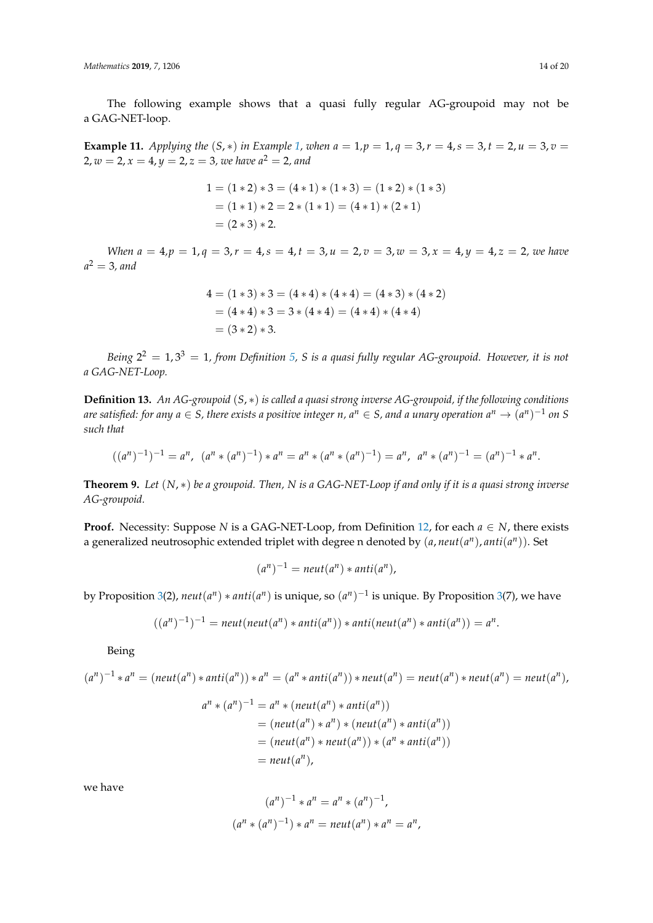The following example shows that a quasi fully regular AG-groupoid may not be a GAG-NET-loop.

<span id="page-13-2"></span>**Example 11.** *Applying the*  $(S, *)$  *in Example* 1*, when*  $a = 1, p = 1, q = 3, r = 4, s = 3, t = 2, u = 3, v = 1$  $a = 1, p = 1, q = 3, r = 4, s = 3, t = 2, u = 3, v = 1$  $a = 1, p = 1, q = 3, r = 4, s = 3, t = 2, u = 3, v = 1$ 2,  $w = 2$ ,  $x = 4$ ,  $y = 2$ ,  $z = 3$ , we have  $a<sup>2</sup> = 2$ , and

$$
1 = (1 * 2) * 3 = (4 * 1) * (1 * 3) = (1 * 2) * (1 * 3)
$$
  
= (1 \* 1) \* 2 = 2 \* (1 \* 1) = (4 \* 1) \* (2 \* 1)  
= (2 \* 3) \* 2.

*When*  $a = 4$ ,  $p = 1$ ,  $q = 3$ ,  $r = 4$ ,  $s = 4$ ,  $t = 3$ ,  $u = 2$ ,  $v = 3$ ,  $w = 3$ ,  $x = 4$ ,  $y = 4$ ,  $z = 2$ , we have *a* <sup>2</sup> = 3*, and*

$$
4 = (1 * 3) * 3 = (4 * 4) * (4 * 4) = (4 * 3) * (4 * 2)
$$
  
= (4 \* 4) \* 3 = 3 \* (4 \* 4) = (4 \* 4) \* (4 \* 4)  
= (3 \* 2) \* 3.

*Being* 2 <sup>2</sup> = 1, 3<sup>3</sup> = 1*, from Definition [5,](#page-2-6) S is a quasi fully regular AG-groupoid. However, it is not a GAG-NET-Loop.*

<span id="page-13-0"></span>**Definition 13.** *An AG-groupoid* (*S*, ∗) *is called a quasi strong inverse AG-groupoid, if the following conditions*  $a$ re satisfied: for any  $a \in S$ , there exists a positive integer  $n$ ,  $a^n \in S$ , and a unary operation  $a^n \to (a^n)^{-1}$  on  $S$ *such that*

$$
((a^n)^{-1})^{-1} = a^n, \ (a^n * (a^n)^{-1}) * a^n = a^n * (a^n * (a^n)^{-1}) = a^n, \ a^n * (a^n)^{-1} = (a^n)^{-1} * a^n.
$$

<span id="page-13-1"></span>**Theorem 9.** *Let* (*N*, ∗) *be a groupoid. Then, N is a GAG-NET-Loop if and only if it is a quasi strong inverse AG-groupoid.*

**Proof.** Necessity: Suppose *N* is a GAG-NET-Loop, from Definition [12,](#page-7-6) for each  $a \in N$ , there exists a generalized neutrosophic extended triplet with degree n denoted by  $(a, neut(a<sup>n</sup>), anti(a<sup>n</sup>)).$  Set

$$
(a^n)^{-1} = \text{neut}(a^n) * \text{anti}(a^n),
$$

by Proposition [3\(](#page-8-2)2),  $neut(a^n) * anti(a^n)$  is unique, so  $(a^n)^{-1}$  is unique. By Proposition 3(7), we have

$$
((an)-1)-1 = neutr(neut(an) * anti(an)) * anti(neut(an) * anti(an)) = an.
$$

Being

$$
(an)-1 * an = (neut(an) * anti(an)) * an = (an * anti(an)) * neutr(an) = neutr(an) * neutr(an) = neutr(an),
$$
  

$$
an * (an)-1 = an * (neut(an) * anti(an))
$$
  

$$
= (neut(an) * an) * (neut(an) * anti(an))
$$
  

$$
= (neut(an) * neutr(an)) * (an * anti(an))
$$
  

$$
= neutr(an),
$$

we have

$$
(a^n)^{-1} * a^n = a^n * (a^n)^{-1},
$$
  

$$
(a^n * (a^n)^{-1}) * a^n = \text{neut}(a^n) * a^n = a^n,
$$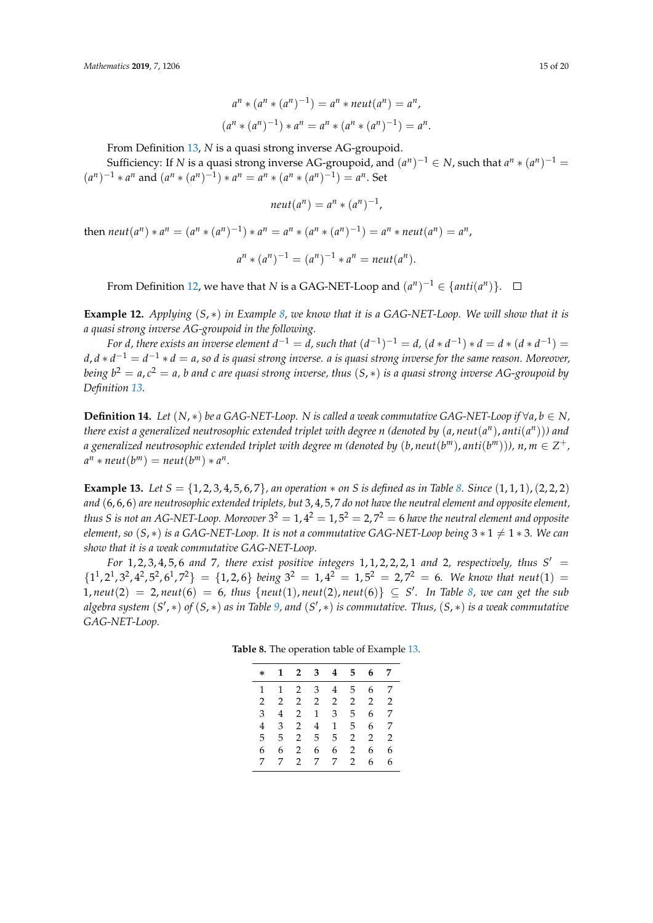$$
a^{n} * (a^{n} * (a^{n})^{-1}) = a^{n} * neut(a^{n}) = a^{n},
$$
  

$$
(a^{n} * (a^{n})^{-1}) * a^{n} = a^{n} * (a^{n} * (a^{n})^{-1}) = a^{n}.
$$

From Definition [13,](#page-13-0) *N* is a quasi strong inverse AG-groupoid.

Sufficiency: If *N* is a quasi strong inverse AG-groupoid, and  $(a^n)^{-1} \in N$ , such that  $a^n * (a^n)^{-1} =$  $(a^n)^{-1} * a^n$  and  $(a^n * (a^n)^{-1}) * a^n = a^n * (a^n * (a^n)^{-1}) = a^n$ . Set

$$
neut(a^n) = a^n * (a^n)^{-1},
$$

then  $neut(a^n) * a^n = (a^n * (a^n)^{-1}) * a^n = a^n * (a^n * (a^n)^{-1}) = a^n * neut(a^n) = a^n$ 

$$
a^{n} * (a^{n})^{-1} = (a^{n})^{-1} * a^{n} = \text{neut}(a^{n}).
$$

From Definition [12,](#page-7-6) we have that *N* is a GAG-NET-Loop and  $(a^n)^{-1} \in \{anti(a^n)\}.$ 

**Example 12.** *Applying* (*S*, ∗) *in Example [8,](#page-10-1) we know that it is a GAG-NET-Loop. We will show that it is a quasi strong inverse AG-groupoid in the following.*

For *d*, there exists an inverse element  $d^{-1} = d$ , such that  $(d^{-1})^{-1} = d$ ,  $(d * d^{-1}) * d = d * (d * d^{-1}) =$ *d*, *d* ∗ *d* <sup>−</sup><sup>1</sup> = *d* <sup>−</sup><sup>1</sup> ∗ *d* = *a, so d is quasi strong inverse. a is quasi strong inverse for the same reason. Moreover, being b* <sup>2</sup> = *a*, *c* <sup>2</sup> = *a, b and c are quasi strong inverse, thus* (*S*, ∗) *is a quasi strong inverse AG-groupoid by Definition [13.](#page-13-0)*

<span id="page-14-2"></span>**Definition 14.** Let  $(N, *)$  be a GAG-NET-Loop. N is called a weak commutative GAG-NET-Loop if  $\forall a, b \in N$ ,  $t$ here exist a generalized neutrosophic extended triplet with degree n (denoted by  $(a,neut(a^n),anti(a^n)))$  and  $a$  generalized neutrosophic extended triplet with degree m (denoted by  $(b,neut(b^m),anti(b^m))),$   $n,m\in{Z^+},$  $a^n * \textit{neut}(b^m) = \textit{neut}(b^m) * a^n.$ 

<span id="page-14-1"></span>**Example 13.** Let  $S = \{1, 2, 3, 4, 5, 6, 7\}$ , an operation  $*$  on S is defined as in Table [8.](#page-14-0) Since  $(1, 1, 1)$ ,  $(2, 2, 2)$ *and* (6, 6, 6) *are neutrosophic extended triplets, but* 3, 4, 5, 7 *do not have the neutral element and opposite element,* thus S is not an AG-NET-Loop. Moreover  $3^2=1$ ,  $4^2=1$ ,  $5^2=2$ ,  $7^2=6$  have the neutral element and opposite *element, so*  $(S, *)$  *is a GAG-NET-Loop. It is not a commutative GAG-NET-Loop being*  $3 * 1 \neq 1 * 3$ *. We can show that it is a weak commutative GAG-NET-Loop.*

<span id="page-14-0"></span>*For* 1, 2, 3, 4, 5, 6 and 7, there exist positive integers 1, 1, 2, 2, 2, 1 and 2, respectively, thus  $S' =$  $\{1^1, 2^1, 3^2, 4^2, 5^2, 6^1, 7^2\} = \{1, 2, 6\}$  *being*  $3^2 = 1, 4^2 = 1, 5^2 = 2, 7^2 = 6$ *. We know that neut*(1) = 1,  $neut(2) = 2$ ,  $neut(6) = 6$ , thus { $neut(1)$ ,  $neut(2)$ ,  $neut(6)$ } ⊆ *S'*. In Table [8,](#page-14-0) we can get the sub *algebra system* (*S* 0 , ∗) *of* (*S*, ∗) *as in Table [9,](#page-15-0) and* (*S* 0 , ∗) *is commutative. Thus,* (*S*, ∗) *is a weak commutative GAG-NET-Loop.*

| $\ast$        | 1            |               |                | $2 \quad 3 \quad 4$ | 5.             |               | 6 7           |
|---------------|--------------|---------------|----------------|---------------------|----------------|---------------|---------------|
| 1             | $\mathbf{1}$ |               | $2 \quad 3$    | 4                   | 5              | 6             | - 7           |
| $\mathcal{L}$ | 2            |               |                | 2 2 2               | $\overline{2}$ | $\mathcal{L}$ | $\mathcal{P}$ |
| 3             | 4            | 2             | $\mathbf{1}$   | 3                   | 5              | 6             | 7             |
| 4             | 3            | $\mathbf{2}$  | $\overline{4}$ | $\mathbf{1}$        | 5              | 6             | 7             |
| 5.            | 5.           | 2             | 5              | 5                   | $\mathbf{2}$   | $\mathcal{L}$ | $\mathcal{D}$ |
| 6             | 6.           | $\mathcal{L}$ | 6              | 6                   | 2              | 6.            | 6             |

7 7 2 7 7 2 6 6

**Table 8.** The operation table of Example [13.](#page-14-1)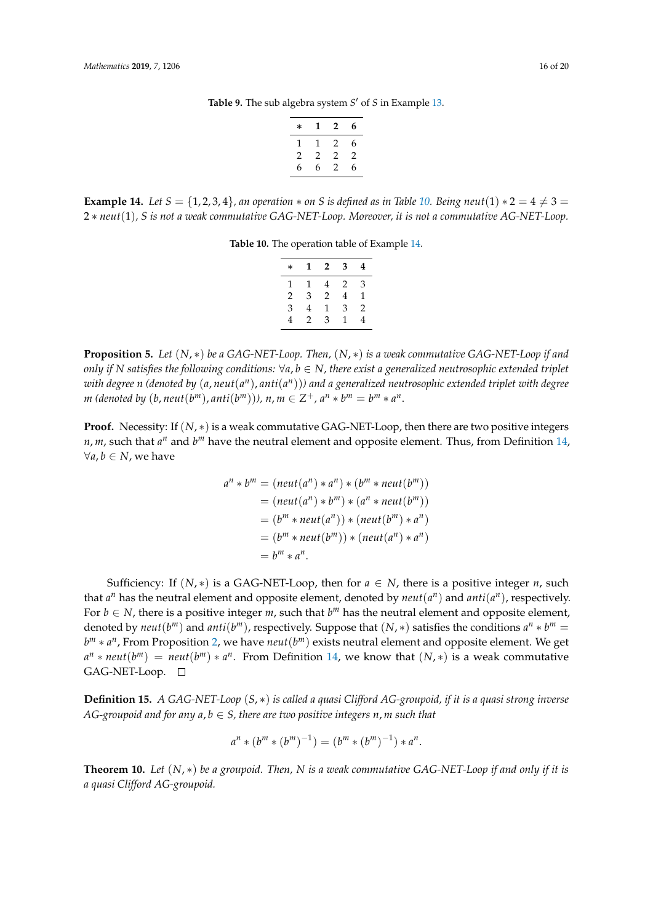Table 9. The sub algebra system *S'* of *S* in Example [13.](#page-14-1)

| $\ast$ | 1 | $\mathbf{2}$ | 6 |
|--------|---|--------------|---|
| 1      | 1 | 2            | 6 |
| 2      | 2 | 2            | 2 |
| 6      | 6 | 2            | 6 |

<span id="page-15-2"></span><span id="page-15-1"></span><span id="page-15-0"></span>**Example 14.** *Let*  $S = \{1, 2, 3, 4\}$ *, an operation*  $*$  *on S is defined as in Table* [10.](#page-15-1) *Being neut*(1)  $*2 = 4 \neq 3 = 3$ 2 ∗ *neut*(1)*, S is not a weak commutative GAG-NET-Loop. Moreover, it is not a commutative AG-NET-Loop.*

**Table 10.** The operation table of Example [14.](#page-15-2)

| $\ast$ | 1 | 2 | 3 | 4 |
|--------|---|---|---|---|
| 1      | 1 | 4 | 2 | З |
| 2      | 3 | 2 | 4 | 1 |
| 3      | 4 | 1 | 3 | 2 |
| 4      | 2 | 3 | 1 | 4 |

**Proposition 5.** *Let* (*N*, ∗) *be a GAG-NET-Loop. Then,* (*N*, ∗) *is a weak commutative GAG-NET-Loop if and only if N* satisfies the following conditions:  $\forall a, b \in N$ , there exist a generalized neutrosophic extended triplet  $w$ ith degree  $n$  (denoted by  $(a,neut(a^n),anti(a^n)))$  and a generalized neutrosophic extended triplet with degree *m* (denoted by  $(b, \text{neut}(b^m), \text{anti}(b^m)))$ ,  $n, m \in \mathbb{Z}^+, a^n * b^m = b^m * a^n$ .

**Proof.** Necessity: If (*N*, ∗) is a weak commutative GAG-NET-Loop, then there are two positive integers *n*, *m*, such that  $a^n$  and  $b^m$  have the neutral element and opposite element. Thus, from Definition [14,](#page-14-2) ∀*a*, *b* ∈ *N*, we have

$$
a^n * b^m = (neut(a^n) * a^n) * (b^m * neut(b^m))
$$
  
= (neut(a^n) \* b^m) \* (a^n \* neut(b^m))  
= (b^m \* neut(a^n)) \* (neut(b^m) \* a^n)  
= (b^m \* neut(b^m)) \* (neut(a^n) \* a^n)  
= b^m \* a^n.

Sufficiency: If  $(N, *)$  is a GAG-NET-Loop, then for  $a \in N$ , there is a positive integer *n*, such that  $a^n$  has the neutral element and opposite element, denoted by  $neut(a^n)$  and  $anti(a^n)$ , respectively. For  $b \in N$ , there is a positive integer *m*, such that  $b^m$  has the neutral element and opposite element, denoted by  $neut(b^m)$  and  $anti(b^m)$ , respectively. Suppose that  $(N, *)$  satisfies the conditions  $a^n * b^m =$ *b*<sup>m</sup> ∗ *a*<sup>n</sup>, From Proposition [2,](#page-8-1) we have *neut*(*b*<sup>m</sup>) exists neutral element and opposite element. We get  $a^n * \textit{neut}(b^m) = \textit{neut}(b^m) * a^n$ . From Definition [14,](#page-14-2) we know that  $(N, *)$  is a weak commutative GAG-NET-Loop.

<span id="page-15-3"></span>**Definition 15.** *A GAG-NET-Loop* (*S*, ∗) *is called a quasi Clifford AG-groupoid, if it is a quasi strong inverse AG-groupoid and for any*  $a, b \in S$ *, there are two positive integers n, m such that* 

$$
a^{n} * (b^{m} * (b^{m})^{-1}) = (b^{m} * (b^{m})^{-1}) * a^{n}.
$$

**Theorem 10.** *Let* (*N*, ∗) *be a groupoid. Then, N is a weak commutative GAG-NET-Loop if and only if it is a quasi Clifford AG-groupoid.*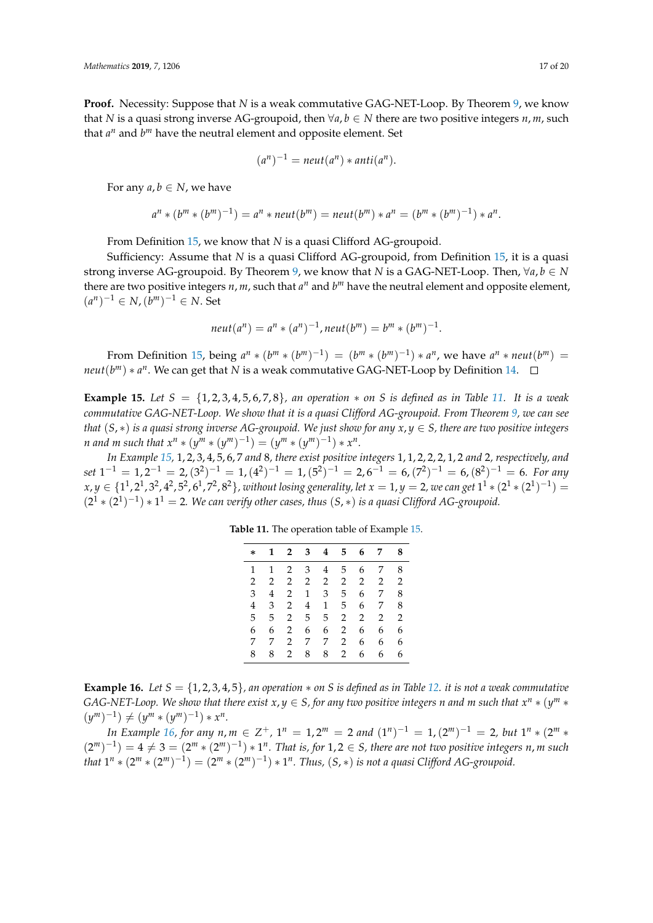**Proof.** Necessity: Suppose that *N* is a weak commutative GAG-NET-Loop. By Theorem [9,](#page-13-1) we know that *N* is a quasi strong inverse AG-groupoid, then  $\forall a, b \in N$  there are two positive integers *n*, *m*, such that  $a^n$  and  $b^m$  have the neutral element and opposite element. Set

$$
(a^n)^{-1} = \text{neut}(a^n) * \text{anti}(a^n).
$$

For any  $a, b \in N$ , we have

$$
a^{n} * (b^{m} * (b^{m})^{-1}) = a^{n} * \text{neut}(b^{m}) = \text{neut}(b^{m}) * a^{n} = (b^{m} * (b^{m})^{-1}) * a^{n}.
$$

From Definition [15,](#page-15-3) we know that *N* is a quasi Clifford AG-groupoid.

Sufficiency: Assume that *N* is a quasi Clifford AG-groupoid, from Definition [15,](#page-15-3) it is a quasi strong inverse AG-groupoid. By Theorem [9,](#page-13-1) we know that *N* is a GAG-NET-Loop. Then,  $\forall a, b \in N$ there are two positive integers  $n$ ,  $m$ , such that  $a^n$  and  $b^m$  have the neutral element and opposite element,  $(a<sup>n</sup>)<sup>-1</sup> ∈ N, (b<sup>m</sup>)<sup>-1</sup> ∈ N. Set$ 

$$
neut(a^n) = a^n * (a^n)^{-1},neut(b^m) = b^m * (b^m)^{-1}.
$$

From Definition [15,](#page-15-3) being  $a^n * (b^m * (b^m)^{-1}) = (b^m * (b^m)^{-1}) * a^n$ , we have  $a^n * \text{neut}(b^m) =$ *neut*(*b*<sup>*m*</sup>) ∗ *a*<sup>*n*</sup>. We can get that *N* is a weak commutative GAG-NET-Loop by Definition [14.](#page-14-2)

<span id="page-16-1"></span>**Example 15.** *Let*  $S = \{1, 2, 3, 4, 5, 6, 7, 8\}$ *, an operation*  $*$  *on*  $S$  *is defined as in Table [11.](#page-16-0) It is a weak commutative GAG-NET-Loop. We show that it is a quasi Clifford AG-groupoid. From Theorem [9,](#page-13-1) we can see that*  $(S, *)$  *is a quasi strong inverse AG-groupoid. We just show for any*  $x, y \in S$ *, there are two positive integers n* and *m* such that  $x^n * (y^m * (y^m)^{-1}) = (y^m * (y^m)^{-1}) * x^n$ .

<span id="page-16-0"></span>*In Example [15,](#page-16-1)* 1, 2, 3, 4, 5, 6, 7 *and* 8*, there exist positive integers* 1, 1, 2, 2, 2, 1, 2 *and* 2*, respectively, and*  $set 1^{-1} = 1, 2^{-1} = 2, (3^2)^{-1} = 1, (4^2)^{-1} = 1, (5^2)^{-1} = 2, 6^{-1} = 6, (7^2)^{-1} = 6, (8^2)^{-1} = 6$ . For any  $x,y\in\{1^1,2^1,3^2,4^2,5^2,6^1,7^2,8^2\}$ , without losing generality, let  $x=1, y=2$ , we can get  $1^1*(2^1*(2^1)^{-1})=1$  $(2^1 * (2^1)^{-1}) * 1^1 = 2$ . We can verify other cases, thus  $(S, *)$  is a quasi Clifford AG-groupoid.

| * | 1 | $\mathbf{2}$   | 3 | 4 | 5.             | 6              | 7 | 8 |
|---|---|----------------|---|---|----------------|----------------|---|---|
| 1 | 1 | 2              | 3 | 4 | 5.             | 6              | 7 | 8 |
| 2 | 2 | $\overline{2}$ | 2 | 2 | 2              | $\overline{2}$ | 2 | 2 |
| 3 | 4 | 2              | 1 | 3 | 5              | 6              | 7 | 8 |
| 4 | 3 | $\overline{2}$ | 4 | 1 | 5              | 6              | 7 | 8 |
| 5 | 5 | 2              | 5 | 5 | $\overline{2}$ | $\overline{2}$ | 2 | 2 |
| 6 | 6 | 2              | 6 | 6 | 2              | 6              | 6 | 6 |
| 7 | 7 | 2              | 7 | 7 | 2              | 6              | 6 | 6 |
| 8 | 8 | 2              | 8 | 8 | $\overline{2}$ | 6              | 6 | 6 |

**Table 11.** The operation table of Example [15.](#page-16-1)

<span id="page-16-2"></span>**Example 16.** *Let*  $S = \{1, 2, 3, 4, 5\}$ *, an operation*  $*$  *on S is defined as in Table [12.](#page-17-1) it is not a weak commutative GAG-NET-Loop. We show that there exist*  $x, y \in S$ , for any two positive integers n and m such that  $x^n * (y^m * x)$  $(y^m)^{-1}$   $\neq (y^m * (y^m)^{-1}) * x^n$ .

*In Example* [16,](#page-16-2) for any  $n, m \in \mathbb{Z}^+$ ,  $1^n = 1, 2^m = 2$  and  $(1^n)^{-1} = 1, (2^m)^{-1} = 2$ , but  $1^n * (2^m *$  $(2^m)^{-1}$ ) = 4  $\neq$  3 =  $(2^m \times (2^m)^{-1}) \times 1^n$ . That is, for 1, 2  $\in$  S, there are not two positive integers *n*, *m* such *that*  $1^n * (2^m * (2^m)^{-1}) = (2^m * (2^m)^{-1}) * 1^n$ . *Thus,*  $(S, *)$  *is not a quasi Clifford AG-groupoid.*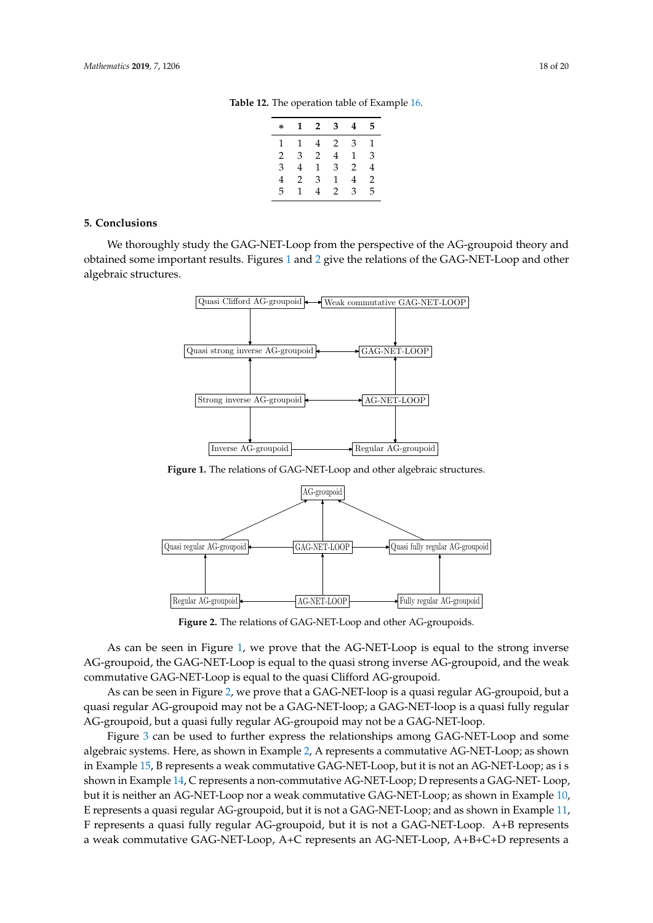| 3<br>$2^{\circ}$<br>1<br>$\ast$          | 4              |   |
|------------------------------------------|----------------|---|
|                                          |                | 5 |
| 1<br>$\overline{2}$<br>4<br>$\mathbf{1}$ | 3              | 1 |
| 4<br>3<br>$\overline{2}$<br>2            | $\mathbf{1}$   | 3 |
| 3<br>3<br>4<br>1                         | $\overline{2}$ | 4 |
| 3<br>$\overline{2}$<br>1<br>4            | 4              | 2 |
| 5<br>$\mathcal{L}$<br>4<br>1             | 3              | 5 |

**Table 12.** The operation table of Example [16.](#page-16-2)

#### <span id="page-17-1"></span><span id="page-17-0"></span>**5. Conclusions**

<span id="page-17-2"></span>We thoroughly study the GAG-NET-Loop from the perspective of the AG-groupoid theory and obtained some important results. Figures [1](#page-17-2) and [2](#page-17-3) give the relations of the GAG-NET-Loop and other algebraic structures.



**Figure 1.** The relations of GAG-NET-Loop and other algebraic structures.

<span id="page-17-3"></span>

**Figure 2.** The relations of GAG-NET-Loop and other AG-groupoids.

As can be seen in Figure [1,](#page-17-2) we prove that the AG-NET-Loop is equal to the strong inverse AG-groupoid, the GAG-NET-Loop is equal to the quasi strong inverse AG-groupoid, and the weak commutative GAG-NET-Loop is equal to the quasi Clifford AG-groupoid.

As can be seen in Figure [2,](#page-17-3) we prove that a GAG-NET-loop is a quasi regular AG-groupoid, but a quasi regular AG-groupoid may not be a GAG-NET-loop; a GAG-NET-loop is a quasi fully regular AG-groupoid, but a quasi fully regular AG-groupoid may not be a GAG-NET-loop.

Figure [3](#page-18-11) can be used to further express the relationships among GAG-NET-Loop and some algebraic systems. Here, as shown in Example [2,](#page-3-1) A represents a commutative AG-NET-Loop; as shown in Example [15,](#page-16-1) B represents a weak commutative GAG-NET-Loop, but it is not an AG-NET-Loop; as i s shown in Example [14,](#page-15-2) C represents a non-commutative AG-NET-Loop; D represents a GAG-NET- Loop, but it is neither an AG-NET-Loop nor a weak commutative GAG-NET-Loop; as shown in Example [10,](#page-11-0) E represents a quasi regular AG-groupoid, but it is not a GAG-NET-Loop; and as shown in Example [11,](#page-13-2) F represents a quasi fully regular AG-groupoid, but it is not a GAG-NET-Loop. A+B represents a weak commutative GAG-NET-Loop, A+C represents an AG-NET-Loop, A+B+C+D represents a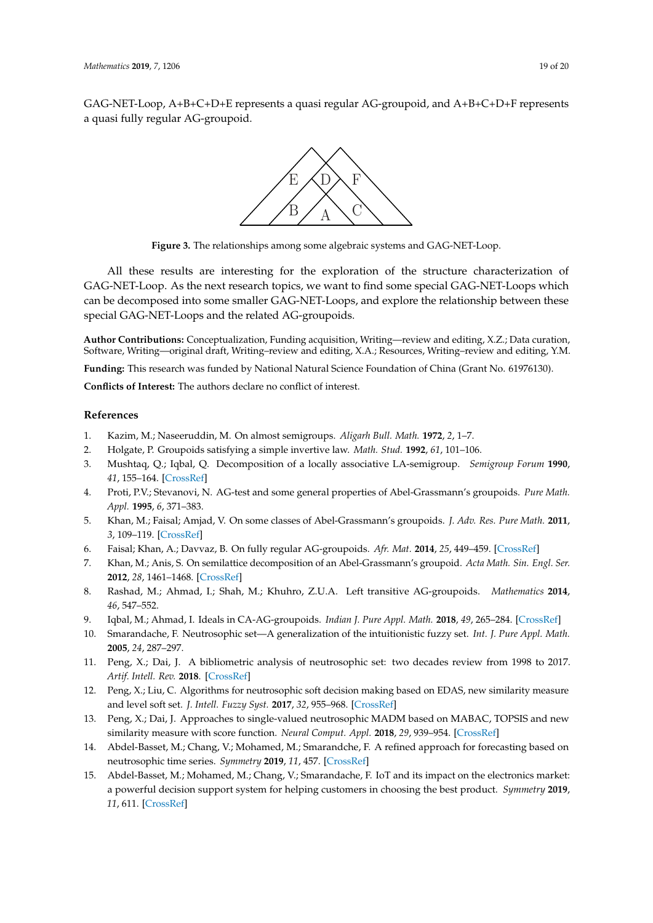<span id="page-18-11"></span>GAG-NET-Loop, A+B+C+D+E represents a quasi regular AG-groupoid, and A+B+C+D+F represents a quasi fully regular AG-groupoid.



**Figure 3.** The relationships among some algebraic systems and GAG-NET-Loop.

All these results are interesting for the exploration of the structure characterization of GAG-NET-Loop. As the next research topics, we want to find some special GAG-NET-Loops which can be decomposed into some smaller GAG-NET-Loops, and explore the relationship between these special GAG-NET-Loops and the related AG-groupoids.

**Author Contributions:** Conceptualization, Funding acquisition, Writing—review and editing, X.Z.; Data curation, Software, Writing—original draft, Writing–review and editing, X.A.; Resources, Writing–review and editing, Y.M.

**Funding:** This research was funded by National Natural Science Foundation of China (Grant No. 61976130).

**Conflicts of Interest:** The authors declare no conflict of interest.

## **References**

- <span id="page-18-0"></span>1. Kazim, M.; Naseeruddin, M. On almost semigroups. *Aligarh Bull. Math.* **1972**, *2*, 1–7.
- <span id="page-18-1"></span>2. Holgate, P. Groupoids satisfying a simple invertive law. *Math. Stud.* **1992**, *61*, 101–106.
- <span id="page-18-2"></span>3. Mushtaq, Q.; Iqbal, Q. Decomposition of a locally associative LA-semigroup. *Semigroup Forum* **1990**, *41*, 155–164. [\[CrossRef\]](http://dx.doi.org/10.1007/BF02573386)
- 4. Proti, P.V.; Stevanovi, N. AG-test and some general properties of Abel-Grassmann's groupoids. *Pure Math. Appl.* **1995**, *6*, 371–383.
- <span id="page-18-9"></span>5. Khan, M.; Faisal; Amjad, V. On some classes of Abel-Grassmann's groupoids. *J. Adv. Res. Pure Math.* **2011**, *3*, 109–119. [\[CrossRef\]](http://dx.doi.org/10.5373/jarpm.670.121410)
- <span id="page-18-10"></span>6. Faisal; Khan, A.; Davvaz, B. On fully regular AG-groupoids. *Afr. Mat.* **2014**, *25*, 449–459. [\[CrossRef\]](http://dx.doi.org/10.1007/s13370-012-0125-3)
- 7. Khan, M.; Anis, S. On semilattice decomposition of an Abel-Grassmann's groupoid. *Acta Math. Sin. Engl. Ser.* **2012**, *28*, 1461–1468. [\[CrossRef\]](http://dx.doi.org/10.1007/s10114-012-0014-6)
- 8. Rashad, M.; Ahmad, I.; Shah, M.; Khuhro, Z.U.A. Left transitive AG-groupoids. *Mathematics* **2014**, *46*, 547–552.
- <span id="page-18-3"></span>9. Iqbal, M.; Ahmad, I. Ideals in CA-AG-groupoids. *Indian J. Pure Appl. Math.* **2018**, *49*, 265–284. [\[CrossRef\]](http://dx.doi.org/10.1007/s13226-018-0268-5)
- <span id="page-18-4"></span>10. Smarandache, F. Neutrosophic set—A generalization of the intuitionistic fuzzy set. *Int. J. Pure Appl. Math.* **2005**, *24*, 287–297.
- <span id="page-18-5"></span>11. Peng, X.; Dai, J. A bibliometric analysis of neutrosophic set: two decades review from 1998 to 2017. *Artif. Intell. Rev.* **2018**. [\[CrossRef\]](http://dx.doi.org/10.1007/s10462-018-9652-0)
- 12. Peng, X.; Liu, C. Algorithms for neutrosophic soft decision making based on EDAS, new similarity measure and level soft set. *J. Intell. Fuzzy Syst.* **2017**, *32*, 955–968. [\[CrossRef\]](http://dx.doi.org/10.3233/JIFS-161548)
- <span id="page-18-6"></span>13. Peng, X.; Dai, J. Approaches to single-valued neutrosophic MADM based on MABAC, TOPSIS and new similarity measure with score function. *Neural Comput. Appl.* **2018**, *29*, 939–954. [\[CrossRef\]](http://dx.doi.org/10.1007/s00521-016-2607-y)
- <span id="page-18-7"></span>14. Abdel-Basset, M.; Chang, V.; Mohamed, M.; Smarandche, F. A refined approach for forecasting based on neutrosophic time series. *Symmetry* **2019**, *11*, 457. [\[CrossRef\]](http://dx.doi.org/10.3390/sym11040457)
- <span id="page-18-8"></span>15. Abdel-Basset, M.; Mohamed, M.; Chang, V.; Smarandache, F. IoT and its impact on the electronics market: a powerful decision support system for helping customers in choosing the best product. *Symmetry* **2019**, *11*, 611. [\[CrossRef\]](http://dx.doi.org/10.3390/sym11050611)